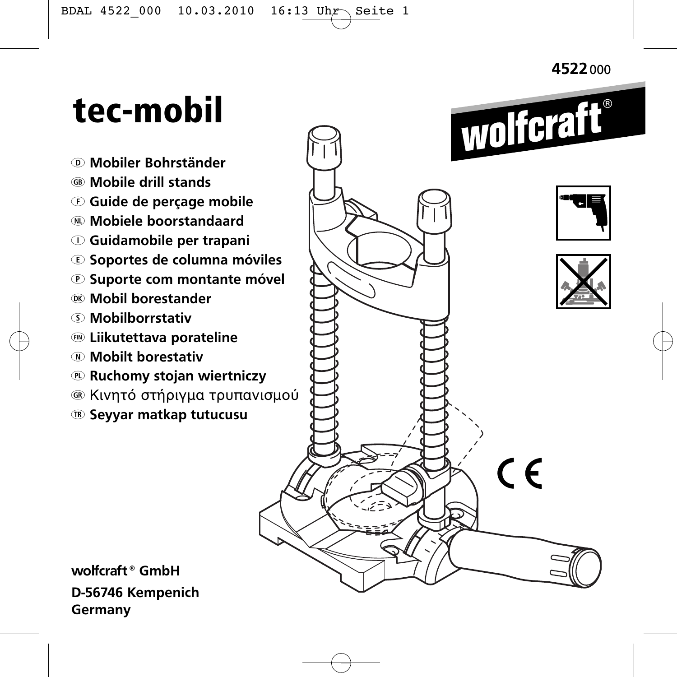**4522**000

# **tec-mobil**

- $\textcircled{\tiny{\textcircled{\tiny{b}}}}$  Mobiler Bohrständer
- G Mobile drill stands
- $\bm{\mathbb{F}}$  Guide de perçage mobile
- $\circledast$  Mobiele boorstandaard
- $\overline{\mathbb{O}}$  Guidamobile per trapani
- E Soportes de columna móviles
- $\overline{\mathbb{P}}$  Suporte com montante móvel
- $\mathcal{\textcircled{\ensuremath{\otimes}}}$  Mobil borestander
- **S** Mobilborrstativ
- **<sup>®</sup> Liikutettava porateline**
- $\circledR$  Mobilt borestativ
- $\mathbf{\Phi}$  Ruchomy stojan wiertniczy
- <mark>® Κινητό στήριγμα τρυπανισμού</mark>
- $\overline{\circledast}$  Seyyar matkap tutucusu

wolfcraft ® GmbH D-56746 Kempenich Germany

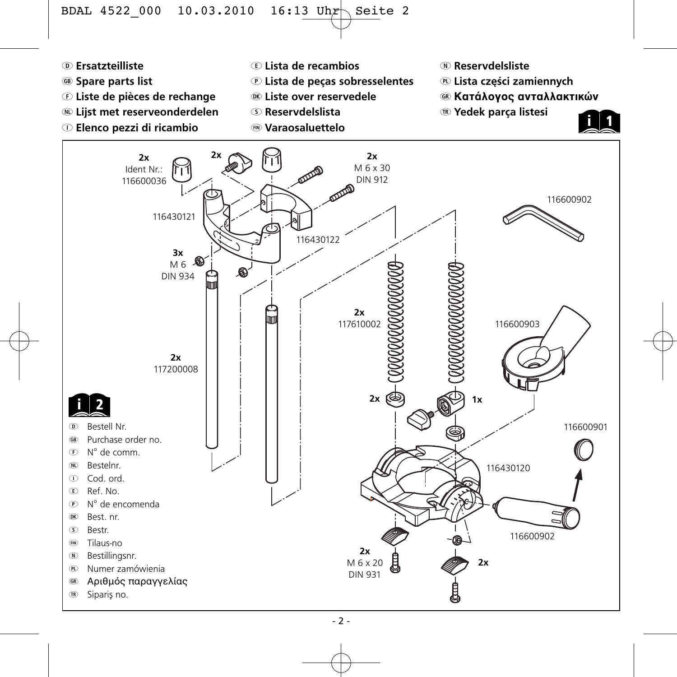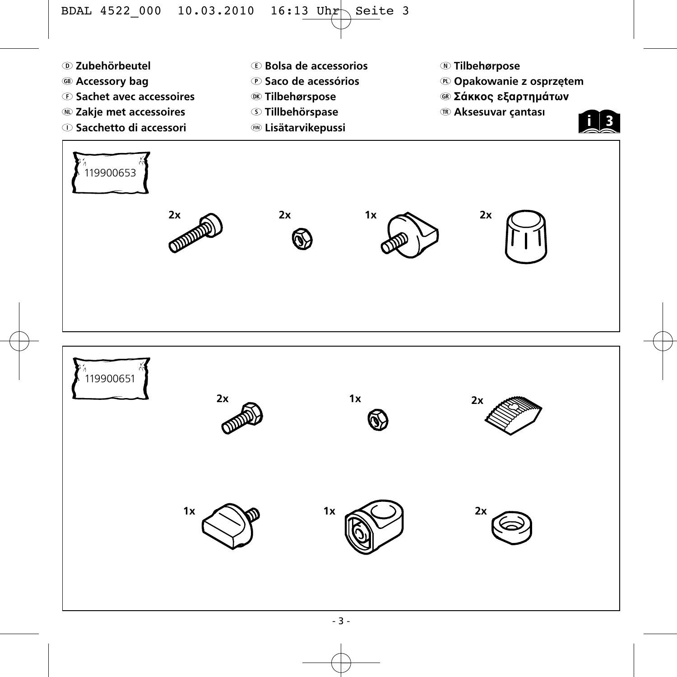

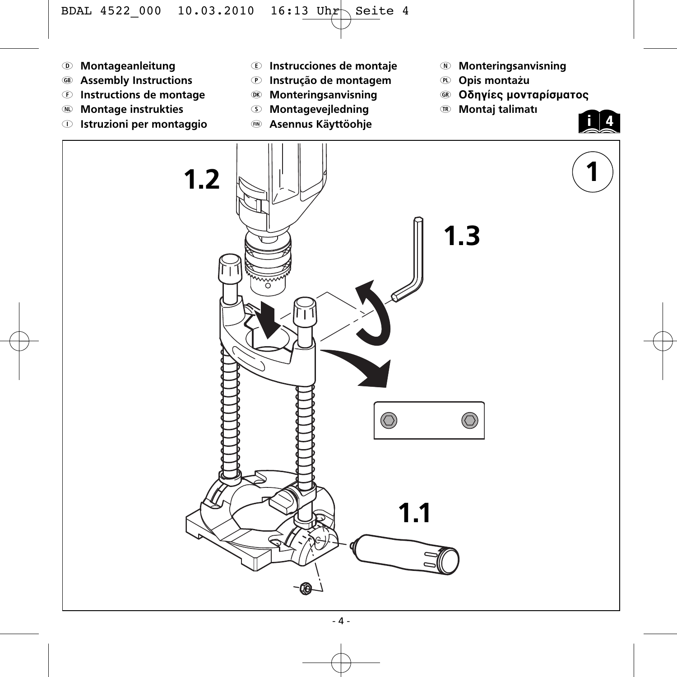- D Montageanleitung
- <sup>GB</sup> Assembly Instructions
- *<b>E* Instructions de montage
- $\widehat{\text{N}}$ Montage instrukties
- $\odot$  Istruzioni per montaggio
- E Instrucciones de montaje
- P Instrução de montagem
- $\widehat{DK}$ Monteringsanvisning
- S Montagevejledning
- **<sup>®</sup> Asennus Käyttöohje**
- **<sup>1</sup>** Monteringsanvisning
- <sup>®</sup> Opis montażu
- **® Οδηγίες μονταρίσματος**
- **TR** Montaj talimatı



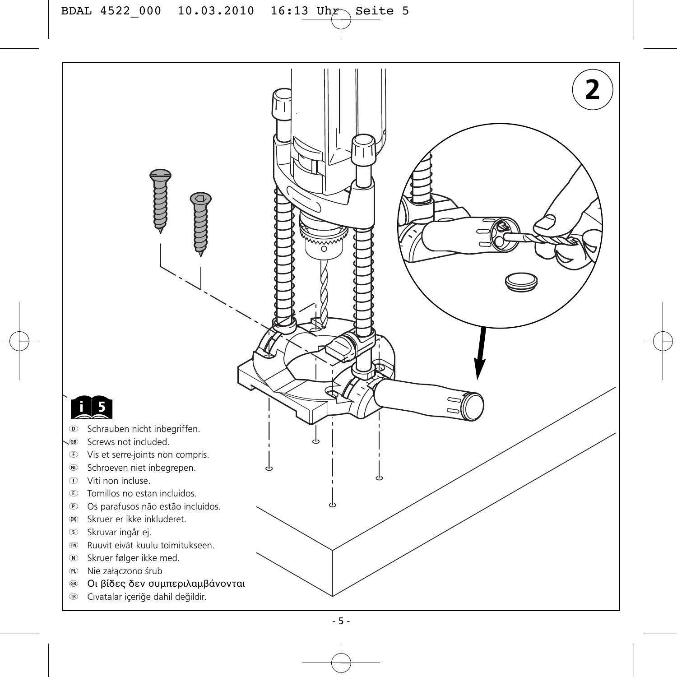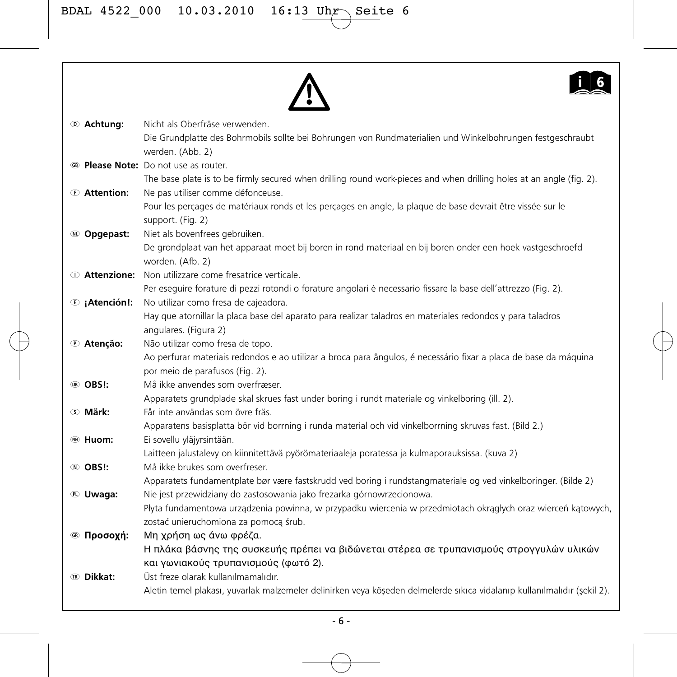

| <sup>1</sup> Achtung:    | Nicht als Oberfräse verwenden.                                                                                                    |
|--------------------------|-----------------------------------------------------------------------------------------------------------------------------------|
|                          | Die Grundplatte des Bohrmobils sollte bei Bohrungen von Rundmaterialien und Winkelbohrungen festgeschraubt                        |
|                          | werden. (Abb. 2)                                                                                                                  |
|                          | <sup>38</sup> Please Note: Do not use as router.                                                                                  |
|                          | The base plate is to be firmly secured when drilling round work-pieces and when drilling holes at an angle (fig. 2).              |
| D Attention:             | Ne pas utiliser comme défonceuse.                                                                                                 |
|                          | Pour les percages de matériaux ronds et les percages en angle, la plague de base devrait être vissée sur le                       |
|                          | support. (Fig. 2)                                                                                                                 |
| <sup>®</sup> Opgepast:   | Niet als bovenfrees gebruiken.                                                                                                    |
|                          | De grondplaat van het apparaat moet bij boren in rond materiaal en bij boren onder een hoek vastgeschroefd<br>worden. (Afb. 2)    |
|                          | <b>1</b> Attenzione: Non utilizzare come fresatrice verticale.                                                                    |
|                          | Per esequire forature di pezzi rotondi o forature angolari è necessario fissare la base dell'attrezzo (Fig. 2).                   |
| D ¡Atención!:            | No utilizar como fresa de cajeadora.                                                                                              |
|                          | Hay que atornillar la placa base del aparato para realizar taladros en materiales redondos y para taladros                        |
|                          | angulares. (Figura 2)                                                                                                             |
| <sup>D</sup> Atenção:    | Não utilizar como fresa de topo.                                                                                                  |
|                          | Ao perfurar materiais redondos e ao utilizar a broca para ângulos, é necessário fixar a placa de base da máquina                  |
|                          | por meio de parafusos (Fig. 2).                                                                                                   |
| OR OBS!:                 | Må ikke anvendes som overfræser.                                                                                                  |
|                          | Apparatets grundplade skal skrues fast under boring i rundt materiale og vinkelboring (ill. 2).                                   |
| © Märk:                  | Får inte användas som övre fräs.                                                                                                  |
|                          | Apparatens basisplatta bör vid borrning i runda material och vid vinkelborrning skruvas fast. (Bild 2.)                           |
| ® Huom:                  | Ei sovellu yläjyrsintään.                                                                                                         |
| ® OBS!:                  | Laitteen jalustalevy on kiinnitettävä pyörömateriaaleja poratessa ja kulmaporauksissa. (kuva 2)<br>Må ikke brukes som overfreser. |
|                          | Apparatets fundamentplate bør være fastskrudd ved boring i rundstangmateriale og ved vinkelboringer. (Bilde 2)                    |
| ® Uwaga:                 | Nie jest przewidziany do zastosowania jako frezarka górnowrzecionowa.                                                             |
|                          | Płyta fundamentowa urządzenia powinna, w przypadku wiercenia w przedmiotach okrągłych oraz wierceń kątowych,                      |
|                          | zostać unieruchomiona za pomocą śrub.                                                                                             |
| <sup>38</sup> Προσοχή:   | Μη χρήση ως άνω φρέζα.                                                                                                            |
|                          | Η πλάκα βάσνης της συσκευής πρέπει να βιδώνεται στέρεα σε τρυπανισμούς στρογγυλών υλικών                                          |
|                          | και γωνιακούς τρυπανισμούς (φωτό 2).                                                                                              |
| <b><i>IR</i></b> Dikkat: | Üst freze olarak kullanılmamalıdır.                                                                                               |
|                          | Aletin temel plakası, yuvarlak malzemeler delinirken veya köşeden delmelerde sıkıca vidalanıp kullanılmalıdır (şekil 2).          |
|                          |                                                                                                                                   |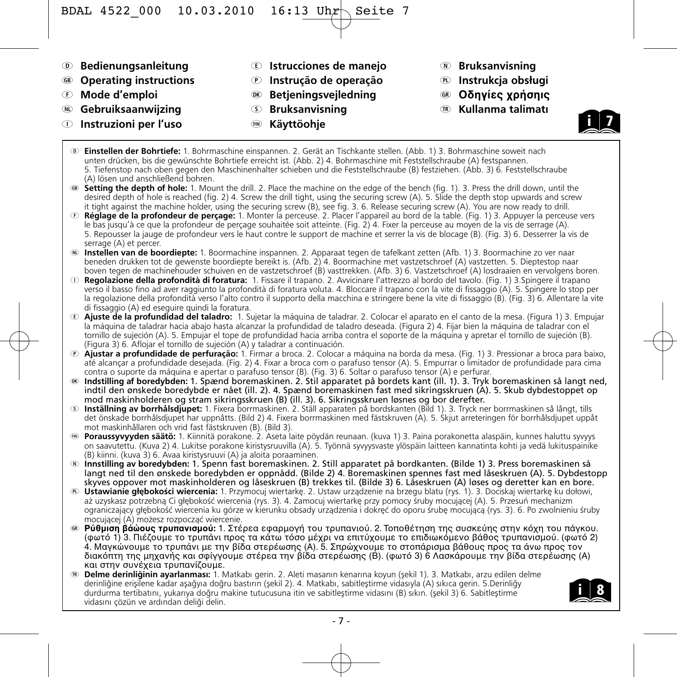- D Bedienungsanleitung
- <sup>68</sup> Operating instructions
- $\circledcirc$  Mode d'emploi
- $@$  Gebruiksaanwijzing
- $\circledcirc$  Instruzioni per l'uso
- E Istrucciones de manejo
- P Instrução de operação
- <sup>®</sup> Betjeningsvejledning
- **S** Bruksanvisning
- **<sup>®</sup> Käyttöohje**
- N Bruksanvisning
- <sup>®</sup> Instrukcja obsługi
- $\widehat{\mathsf{GR}}$ **δηγες ρσηις**
- **R** Kullanma talimatı



- $\bm \Phi$  Einstellen der Bohrtiefe: 1. Bohrmaschine einspannen. 2. Gerät an Tischkante stellen. (Abb. 1) 3. Bohrmaschine soweit nach unten drücken, bis die gewünschte Bohrtiefe erreicht ist. (Abb. 2) 4. Bohrmaschine mit Feststellschraube (A) festspannen. 5. Tiefenstop nach oben gegen den Maschinenhalter schieben und die Feststellschraube (B) festziehen. (Abb. 3) 6. Feststellschraube (A) lösen und anschließend bohren.
- G Setting the depth of hole: 1. Mount the drill. 2. Place the machine on the edge of the bench (fig. 1). 3. Press the drill down, until the desired depth of hole is reached (fig. 2) 4. Screw the drill tight, using the securing screw (A). 5. Slide the depth stop upwards and screw it tight against the machine holder, using the securing screw (B), see fig. 3. 6. Release securing screw (A). You are now ready to drill.
- **D Réglage de la profondeur de perçage:** 1. Monter la perceuse. 2. Placer l'appareil au bord de la table. (Fig. 1) 3. Appuyer la perceuse vers le bas jusqu'à ce que la profondeur de perçage souhaitée soit atteinte. (Fig. 2) 4. Fixer la perceuse au moyen de la vis de serrage (A). 5. Repousser la jauge de profondeur vers le haut contre le support de machine et serrer la vis de blocage (B). (Fig. 3) 6. Desserrer la vis de serrage (A) et percer.
- **® Instellen van de boordiepte:** 1. Boormachine inspannen. 2. Apparaat tegen de tafelkant zetten (Afb. 1) 3. Boormachine zo ver naar beneden drukken tot de gewenste boordiepte bereikt is. (Afb. 2) 4. Boormachine met vastzetschroef (A) vastzetten. 5. Dieptestop naar boven tegen de machinehouder schuiven en de vastzetschroef (B) vasttrekken. (Afb. 3) 6. Vastzetschroef (A) losdraaien en vervolgens boren.
- $\bm \circledcirc$  Regolazione della profondità di foratura: 1. Fissare il trapano. 2. Avvicinare l'attrezzo al bordo del tavolo. (Fig. 1) 3.Spingere il trapano verso il basso fino ad aver raggiunto la profondità di foratura voluta. 4. Bloccare il trapano con la vite di fissaggio (A). 5. Spingere lo stop per la regolazione della profondità verso l'alto contro il supporto della macchina e stringere bene la vite di fissaggio (B). (Fig. 3) 6. Allentare la vite di fissaggio (A) ed eseguire quindi la foratura.
- **D Ajuste de la profundidad del taladro:** 1. Sujetar la máquina de taladrar. 2. Colocar el aparato en el canto de la mesa. (Figura 1) 3. Empujar la máquina de taladrar hacia abajo hasta alcanzar la profundidad de taladro deseada. (Figura 2) 4. Fijar bien la máquina de taladrar con el tornillo de sujeción (A). 5. Empujar el tope de profundidad hacia arriba contra el soporte de la máquina y apretar el tornillo de sujeción (B). (Figura 3) 6. Aflojar el tornillo de sujeción (A) y taladrar a continuación.
- $\bm{\Phi}$  **Ajustar a profundidade de perfuração:** 1. Firmar a broca. 2. Colocar a máquina na borda da mesa. (Fig. 1) 3. Pressionar a broca para baixo, até alcançar a profundidade desejada. (Fig. 2) 4. Fixar a broca com o parafuso tensor (A). 5. Empurrar o limitador de profundidade para cima contra o suporte da máquina e apertar o parafuso tensor (B). (Fig. 3) 6. Soltar o parafuso tensor (A) e perfurar.
- **B Indstilling af boredybden:** 1. Spænd boremaskinen. 2. Stil apparatet på bordets kant (ill. 1). 3. Tryk boremaskinen så langt ned, indtil den ønskede boredybde er nået (ill. 2). 4. Spænd boremaskinen fast med sikringsskruen (A). 5. Skub dybdestoppet op mod maskinholderen og stram sikringsskruen (B) (ill. 3). 6. Sikringsskruen løsnes og bor derefter.
- S Inställning av borrhålsdjupet: 1. Fixera borrmaskinen. 2. Ställ apparaten på bordskanten (Bild 1). 3. Tryck ner borrmaskinen så långt, tills det önskade borrhålsdjupet har uppnåtts. (Bild 2) 4. Fixera borrmaskinen med fästskruven (A). 5. Skjut arreteringen för borrhålsdjupet uppåt mot maskinhållaren och vrid fast fästskruven (B). (Bild 3).
- **<sup>®</sup> Poraussyvyyden säätö:** 1. Kiinnitä porakone. 2. Aseta laite pöydän reunaan. (kuva 1) 3. Paina porakonetta alaspäin, kunnes haluttu syvyys on saavutettu. (Kuva 2) 4. Lukitse porakone kiristysruuvilla (A). 5. Työnnä syvyysvaste ylöspäin laitteen kannatinta kohti ja vedä lukituspainike (B) kiinni. (kuva 3) 6. Avaa kiristysruuvi (A) ja aloita poraaminen.
- $\bm{\Phi}$  Innstilling av boredybden: 1. Spenn fast boremaskinen. 2. Still apparatet på bordkanten. (Bilde 1) 3. Press boremaskinen så langt ned til den ønskede boredybden er oppnådd. (Bilde 2) 4. Boremaskinen spennes fast med låseskruen (A). 5. Dybdestopp skyves oppover mot maskinholderen og låseskruen (B) trekkes til. (Bilde 3) 6. Låseskruen (A) løses og deretter kan en bore.
- **D Ustawianie głębokości wiercenia:** 1. Przymocuj wiertarkę. 2. Ustaw urządzenie na brzegu blatu (rys. 1). 3. Dociskaj wiertarkę ku dołowi, aż uzyskasz potrzebną Ci głębokość wiercenia (rys. 3). 4. Zamocuj wiertarkę przy pomocy śruby mocującej (A). 5. Przesuń mechanizm ograniczający głębokość wiercenia ku górze w kierunku obsady urządzenia i dokręć do oporu śrubę mocującą (rys. 3). 6. Po zwolnieniu śruby mocującej (A) możesz rozpocząć wiercenie.
- **@ Ρύθμιση βάωους τρυπανισμού:** 1. Στέρεα εφαρμογή του τρυπανιού. 2. Τοποθέτηση της συσκεύης στην κόχη του πάγκου. (φωτό 1) 3. Πιέζουμε το τρυπάνι προς τα κάτω τόσο μέχρι να επιτύχουμε το επιδιωκόμενο βάθος τρυπανισμού, (φωτό 2) 4. Μαγκώνουμε το τρυπάνι με την βίδα στερέωσης (Α). 5. Σπρώχνουμε το στοπάρισμα βάθους προς τα άνω προς τον διακόπτη της μηχανής και σφίννουμε στέρεα την βίδα στερέωσης (Β). (φωτό 3) 6 Λασκάρουμε την βίδα στερέωσης (Α) και στην συνέχεια τρυπανίζουμε.
- ® Delme derinliğinin ayarlanması: 1. Matkabı gerin. 2. Aleti masanın kenarına koyun (şekil 1). 3. Matkabı, arzu edilen delme derinliğine erişilene kadar aşağyıa doğru bastırın (şekil 2). 4. Matkabı, sabitleştirme vidasıyla (A) sıkıca gerin. 5.Derinliğy durdurma tertibatını, yukarıya doğru makine tutucusuna itin ve sabitleştirme vidasını (B) sıkın. (şekil 3) 6. Sabitleştirme vidasını çözün ve ardından deliği delin.

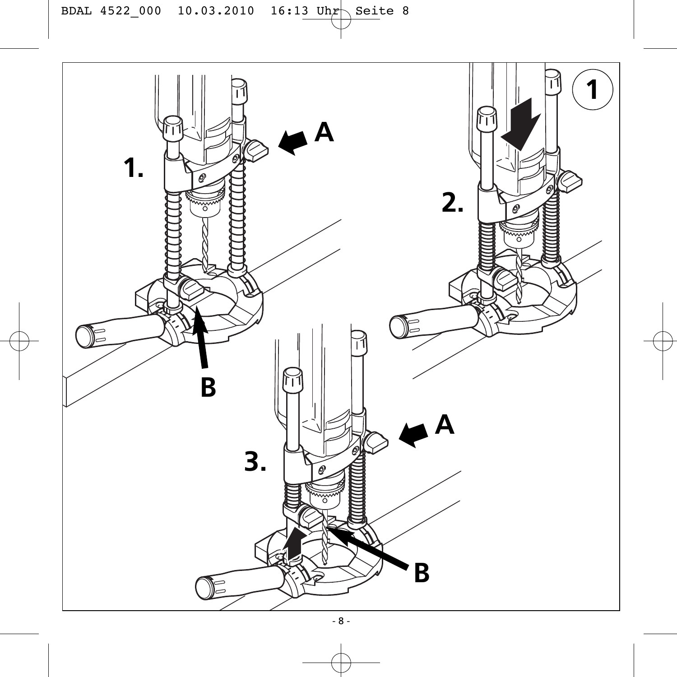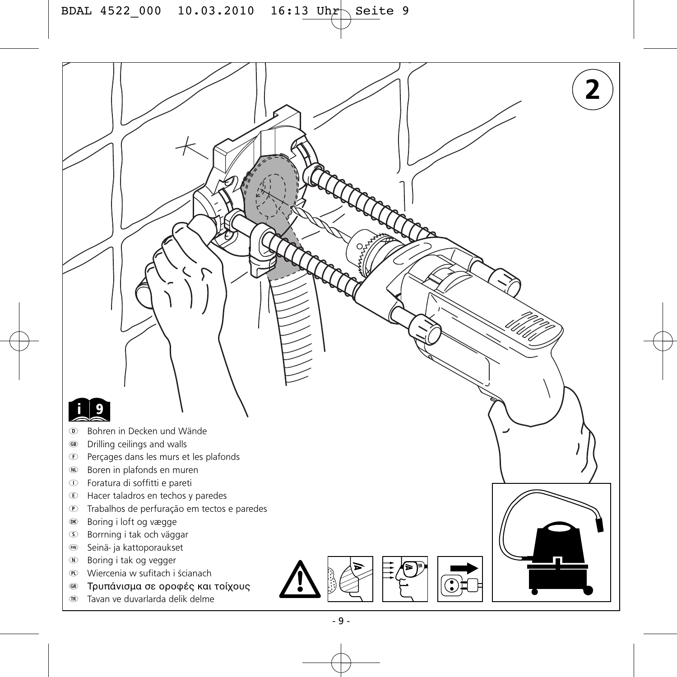- 
- $\circledcirc$ Bohren in Decken und Wände
- $\overline{\mathsf{GB}}$ Drilling ceilings and walls
- F Perçages dans les murs et les plafonds
- $\overline{0}$ Boren in plafonds en muren
- I Foratura di soffitti e pareti
- E Hacer taladros en techos y paredes
- P Trabalhos de perfuração em tectos e paredes
- $\circledR$ Boring i loft og vægge
- S Borrning i tak och väggar
- fSeinä- ja kattoporaukset
- N Boring i tak og vegger
- $^{\circ}$ Wiercenia w sufitach i ścianach
- $\overline{\text{GR}}$ Τρυπάνισμα σε οροφές και τοίχους
- <sup>TR</sup> Tavan ve duvarlarda delik delme

2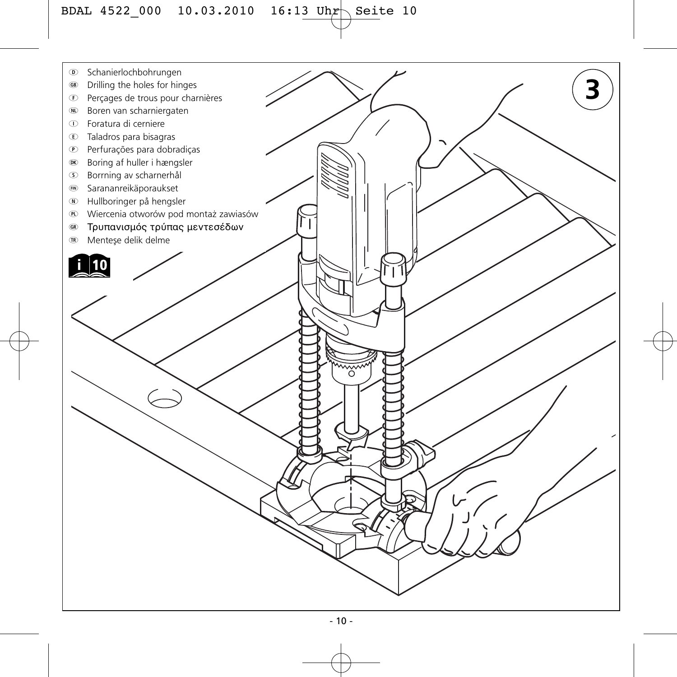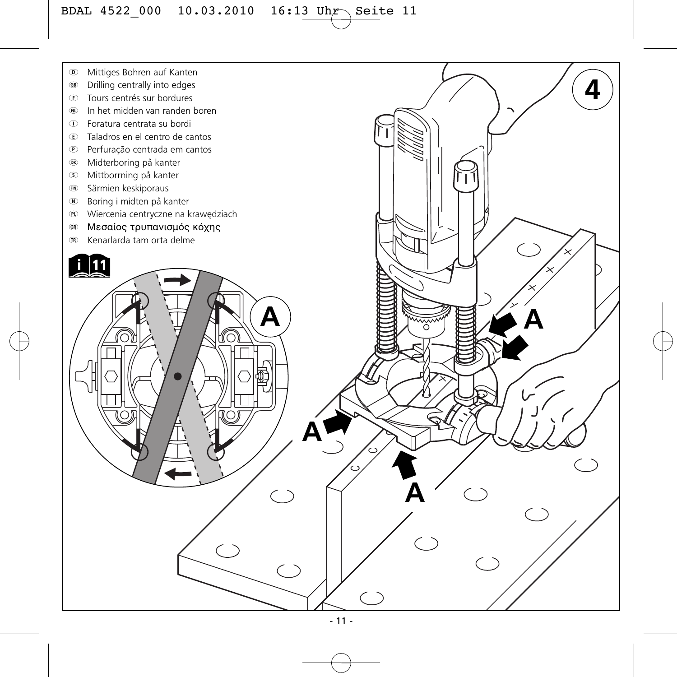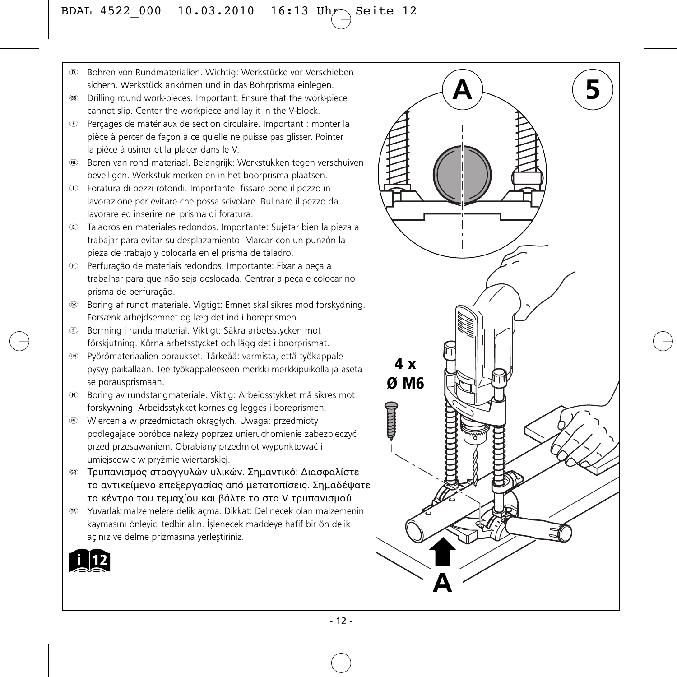- D Bohren von Rundmaterialien. Wichtig: Werkstücke vor Verschieben sichern. Werkstück ankörnen und in das Bohrprisma einlegen.
- G Drilling round work-pieces. Important: Ensure that the work-piece cannot slip. Center the workpiece and lay it in the V-block.
- F Perçages de matériaux de section circulaire. Important : monter la pièce à percer de façon à ce qu'elle ne puisse pas glisser. Pointer la pièce à usiner et la placer dans le V.
- **<sup>®</sup>** Boren van rond materiaal. Belangrijk: Werkstukken tegen verschuiven beveiligen. Werkstuk merken en in het boorprisma plaatsen.
- $\circledcirc$  Foratura di pezzi rotondi. Importante: fissare bene il pezzo in lavorazione per evitare che possa scivolare. Bulinare il pezzo da lavorare ed inserire nel prisma di foratura.
- E Taladros en materiales redondos. Importante: Sujetar bien la pieza a trabajar para evitar su desplazamiento. Marcar con un punzón la pieza de trabajo y colocarla en el prisma de taladro.
- P Perfuração de materiais redondos. Importante: Fixar a peça a trabalhar para que não seja deslocada. Centrar a peça e colocar no prisma de perfuração.
- ® Boring af rundt materiale. Vigtigt: Emnet skal sikres mod forskydning. Forsænk arbejdsemnet og læg det ind i boreprismen.
- S Borrning i runda material. Viktigt: Säkra arbetsstycken mot förskjutning. Körna arbetsstycket och lägg det i boorprismat.
- $(n)$  Pyörömateriaalien poraukset. Tärkeää: varmista, että työkappale pysyy paikallaan. Tee työkappaleeseen merkki merkkipuikolla ja aseta se porausprismaan.
- N Boring av rundstangmateriale. Viktig: Arbeidsstykket må sikres mot forskyvning. Arbeidsstykket kornes og legges i boreprismen.
- $\odot$  Wiercenia w przedmiotach okrągłych. Uwaga: przedmioty podlegające obróbce należy poprzez unieruchomienie zabezpieczyć przed przesuwaniem. Obrabiany przedmiot wypunktować i umiejscowić w pryźmie wiertarskiej.
- <sup>@</sup> Τρυπανισμός στρογγυλών υλικών. Σημαντικό: Διασφαλίστε το αντικείμενο επεξεργασίας από μετατοπίσεις. Σημαδέψατε το κέντρο του τεμαχίου και βάλτε το στο V τρυπανισμού
- ® Yuvarlak malzemelere delik açma. Dikkat: Delinecek olan malzemenin kaymasını önleyici tedbir alın. İşlenecek maddeye hafif bir ön delik açınız ve delme prizmasına yerleştiriniz.



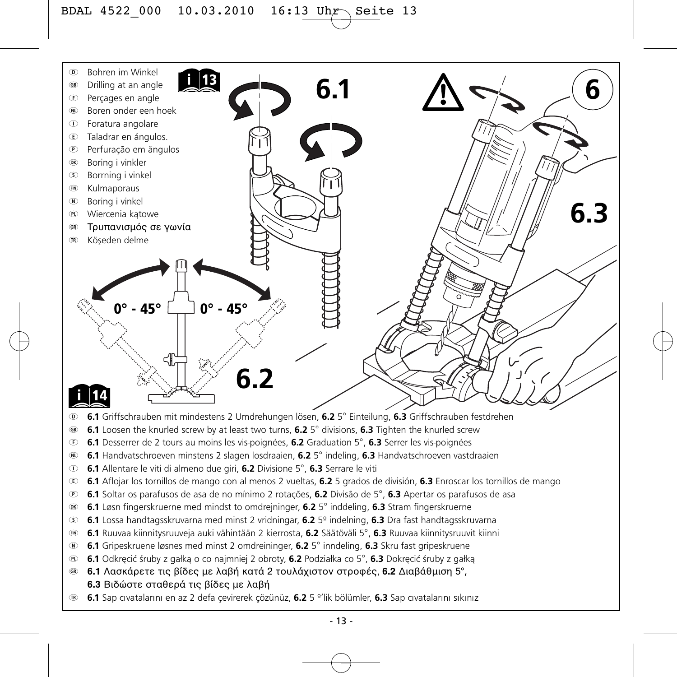

- $\circledcirc$ 6.1 Griffschrauben mit mindestens 2 Umdrehungen lösen, 6.2 5° Einteilung, 6.3 Griffschrauben festdrehen
- GB 6.1 Loosen the knurled screw by at least two turns, 6.2 5° divisions, 6.3 Tighten the knurled screw
- $(F)$ 6.1 Desserrer de 2 tours au moins les vis-poignées, 6.2 Graduation 5°, 6.3 Serrer les vis-poignées
- $\overline{M}$ 6.1 Handvatschroeven minstens 2 slagen losdraaien, 6.2 5° indeling, 6.3 Handvatschroeven vastdraaien
- $\bigcirc$ 6.1 Allentare le viti di almeno due giri, 6.2 Divisione 5°, 6.3 Serrare le viti
- E6.1 Aflojar los tornillos de mango con al menos 2 vueltas, 6.2 5 grados de división, 6.3 Enroscar los tornillos de mango
- $\circledR$ 6.1 Soltar os parafusos de asa de no mínimo 2 rotações, 6.2 Divisão de 5°, 6.3 Apertar os parafusos de asa
- **OK** 6.1 Løsn fingerskruerne med mindst to omdrejninger, 6.2 5° inddeling, 6.3 Stram fingerskruerne
- S6.1 Lossa handtagsskruvarna med minst 2 vridningar, 6.2 5º indelning, 6.3 Dra fast handtagsskruvarna
- $\widehat{\text{f}}$ 6.1 Ruuvaa kiinnitysruuveja auki vähintään 2 kierrosta, 6.2 Säätöväli 5°, 6.3 Ruuvaa kiinnitysruuvit kiinni
- N6.1 Gripeskruene løsnes med minst 2 omdreininger, 6.2 5° inndeling, 6.3 Skru fast gripeskruene
- <sup>®</sup> 6.1 Odkręcić śruby z gałką o co najmniej 2 obroty, 6.2 Podziałka co 5°, 6.3 Dokręcić śruby z gałką
- @ **6.1** Λασκάρετε τις βίδες με λαβή κατά 2 τουλάχιστον στροφές, **6.2** Διαβάθμιση 5°, **6.3** Βιδώστε σταθερά τις βίδες με λαβή
- <sup>®</sup> 6.1 Sap cıvatalarını en az 2 defa çevirerek çözünüz, 6.2 5 <sup>o</sup>'lik bölümler, 6.3 Sap cıvatalarını sıkınız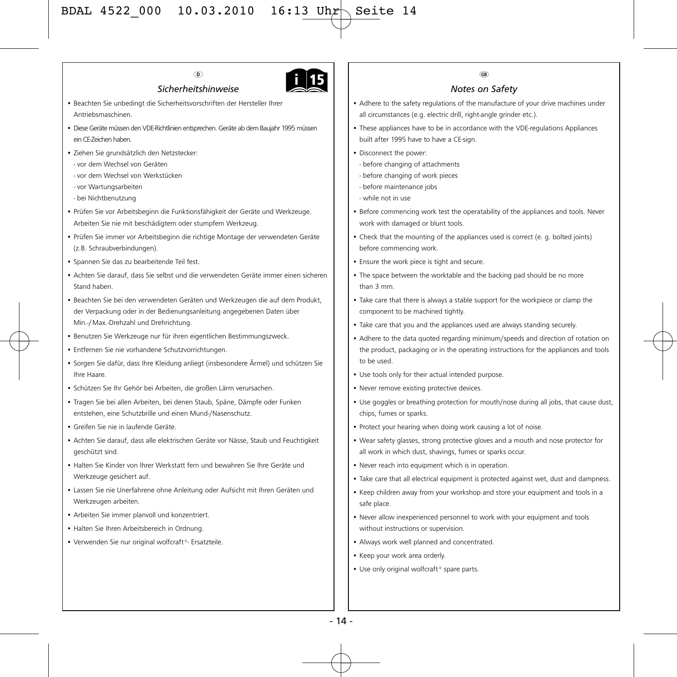

#### *Sicherheitshinweise*

- Beachten Sie unbedingt die Sicherheitsvorschriften der Hersteller Ihrer Antriebsmaschinen.
- Diese Geräte müssen den VDE-Richtlinien entsprechen. Geräte ab dem Baujahr 1995 müssen ein CE-Zeichen haben.
- Ziehen Sie grundsätzlich den Netzstecker:
- vor dem Wechsel von Geräten
- vor dem Wechsel von Werkstücken
- vor Wartungsarbeiten
- bei Nichtbenutzung
- Prüfen Sie vor Arbeitsbeginn die Funktionsfähigkeit der Geräte und Werkzeuge. Arbeiten Sie nie mit beschädigtem oder stumpfem Werkzeug.
- Prüfen Sie immer vor Arbeitsbeginn die richtige Montage der verwendeten Geräte (z.B. Schraubverbindungen).
- Spannen Sie das zu bearbeitende Teil fest.
- Achten Sie darauf, dass Sie selbst und die verwendeten Geräte immer einen sicheren Stand haben.
- Beachten Sie bei den verwendeten Geräten und Werkzeugen die auf dem Produkt, der Verpackung oder in der Bedienungsanleitung angegebenen Daten über Min.-/Max.-Drehzahl und Drehrichtung.
- Benutzen Sie Werkzeuge nur für ihren eigentlichen Bestimmungszweck.
- Entfernen Sie nie vorhandene Schutzvorrichtungen.
- Sorgen Sie dafür, dass Ihre Kleidung anliegt (insbesondere Ärmel) und schützen Sie Ihre Haare.
- Schützen Sie Ihr Gehör bei Arbeiten, die großen Lärm verursachen.
- Tragen Sie bei allen Arbeiten, bei denen Staub, Späne, Dämpfe oder Funken entstehen, eine Schutzbrille und einen Mund-/Nasenschutz.
- Greifen Sie nie in laufende Geräte.
- Achten Sie darauf, dass alle elektrischen Geräte vor Nässe, Staub und Feuchtigkeit geschützt sind.
- Halten Sie Kinder von Ihrer Werkstatt fern und bewahren Sie Ihre Geräte und Werkzeuge gesichert auf.
- Lassen Sie nie Unerfahrene ohne Anleitung oder Aufsicht mit Ihren Geräten und Werkzeugen arbeiten.
- Arbeiten Sie immer planvoll und konzentriert.
- Halten Sie Ihren Arbeitsbereich in Ordnung.
- Verwenden Sie nur original wolfcraft ®- Ersatzteile.

#### *Notes on Safety*

- Adhere to the safety regulations of the manufacture of your drive machines under all circumstances (e.g. electric drill, right-angle grinder etc.).
- These appliances have to be in accordance with the VDE-regulations Appliances built after 1995 have to have a CE-sign.
- Disconnect the power:
- before changing of attachments
- before changing of work pieces
- before maintenance jobs
- while not in use
- Before commencing work test the operatability of the appliances and tools. Never work with damaged or blunt tools.
- Check that the mounting of the appliances used is correct (e. g. bolted joints) before commencing work.
- Ensure the work piece is tight and secure.
- The space between the worktable and the backing pad should be no more than 3 mm.
- Take care that there is always a stable support for the workpiece or clamp the component to be machined tightly.
- Take care that you and the appliances used are always standing securely.
- Adhere to the data quoted regarding minimum/speeds and direction of rotation on the product, packaging or in the operating instructions for the appliances and tools to be used.
- Use tools only for their actual intended purpose.
- Never remove existing protective devices.
- Use goggles or breathing protection for mouth/nose during all jobs, that cause dust, chips, fumes or sparks.
- Protect your hearing when doing work causing a lot of noise.
- Wear safety glasses, strong protective gloves and a mouth and nose protector for all work in which dust, shavings, fumes or sparks occur.
- Never reach into equipment which is in operation.
- Take care that all electrical equipment is protected against wet, dust and dampness.
- Keep children away from your workshop and store your equipment and tools in a safe place.
- Never allow inexperienced personnel to work with your equipment and tools without instructions or supervision.
- Always work well planned and concentrated.
- Keep your work area orderly.
- Use only original wolfcraft<sup>®</sup> spare parts.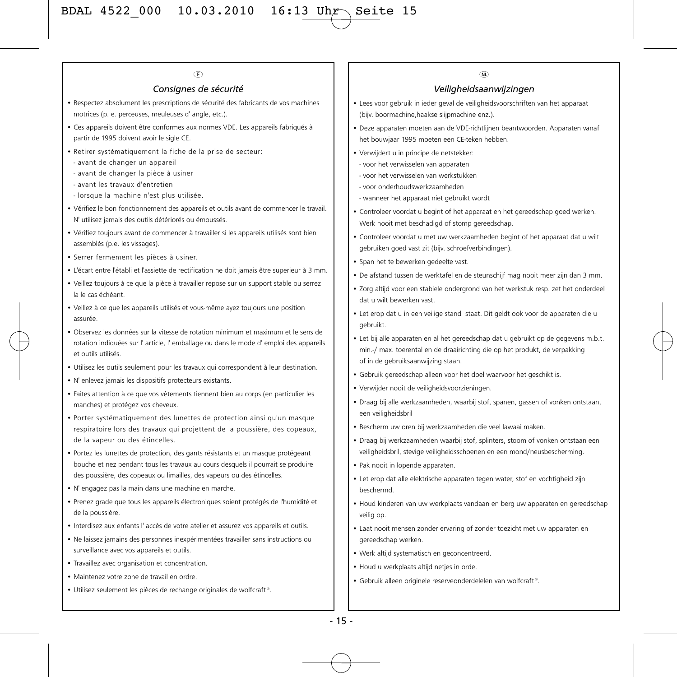#### *Consignes de sécurité*

- Respectez absolument les prescriptions de sécurité des fabricants de vos machines motrices (p. e. perceuses, meuleuses d' angle, etc.).
- Ces appareils doivent être conformes aux normes VDE. Les appareils fabriqués à partir de 1995 doivent avoir le sigle CE.
- Retirer systématiquement la fiche de la prise de secteur:
- avant de changer un appareil
- avant de changer la pièce à usiner
- avant les travaux d'entretien
- lorsque la machine n'est plus utilisée.
- Vérifiez le bon fonctionnement des appareils et outils avant de commencer le travail. N' utilisez jamais des outils détériorés ou émoussés.
- Vérifiez toujours avant de commencer à travailler si les appareils utilisés sont bien assemblés (p.e. les vissages).
- Serrer fermement les pièces à usiner.
- L'écart entre l'établi et l'assiette de rectification ne doit jamais être superieur à 3 mm.
- Veillez toujours à ce que la pièce à travailler repose sur un support stable ou serrez la le cas échéant.
- Veillez à ce que les appareils utilisés et vous-même ayez toujours une position assurée.
- Observez les données sur la vitesse de rotation minimum et maximum et le sens de rotation indiquées sur l' article, l' emballage ou dans le mode d' emploi des appareils et outils utilisés.
- Utilisez les outils seulement pour les travaux qui correspondent à leur destination.
- N' enlevez jamais les dispositifs protecteurs existants.
- Faites attention à ce que vos vêtements tiennent bien au corps (en particulier les manches) et protégez vos cheveux.
- Porter systématiquement des lunettes de protection ainsi qu'un masque respiratoire lors des travaux qui projettent de la poussière, des copeaux, de la vapeur ou des étincelles.
- Portez les lunettes de protection, des gants résistants et un masque protégeant bouche et nez pendant tous les travaux au cours desquels il pourrait se produire des poussière, des copeaux ou limailles, des vapeurs ou des étincelles.
- N' engagez pas la main dans une machine en marche.
- Prenez grade que tous les appareils électroniques soient protégés de l'humidité et de la poussière.
- Interdisez aux enfants l' accès de votre atelier et assurez vos appareils et outils.
- Ne laissez jamains des personnes inexpérimentées travailler sans instructions ou surveillance avec vos appareils et outils.
- Travaillez avec organisation et concentration.
- Maintenez votre zone de travail en ordre.
- Utilisez seulement les pièces de rechange originales de wolfcraft ®.

#### *Veiligheidsaanwijzingen*

- Lees voor gebruik in ieder geval de veiligheidsvoorschriften van het apparaat (bijv. boormachine haakse slijpmachine enz.).
- Deze apparaten moeten aan de VDE-richtlijnen beantwoorden. Apparaten vanaf het bouwjaar 1995 moeten een CE-teken hebben.
- Verwijdert u in principe de netstekker:
- voor het verwisselen van apparaten
- voor het verwisselen van werkstukken
- voor onderhoudswerkzaamheden
- wanneer het apparaat niet gebruikt wordt
- Controleer voordat u begint of het apparaat en het gereedschap goed werken. Werk nooit met beschadigd of stomp gereedschap.
- Controleer voordat u met uw werkzaamheden begint of het apparaat dat u wilt gebruiken goed vast zit (bijv. schroefverbindingen).
- Span het te bewerken gedeelte vast.
- De afstand tussen de werktafel en de steunschijf mag nooit meer zijn dan 3 mm.
- Zorg altijd voor een stabiele ondergrond van het werkstuk resp. zet het onderdeel dat u wilt bewerken vast.
- Let erop dat u in een veilige stand staat. Dit geldt ook voor de apparaten die u gebruikt.
- Let bij alle apparaten en al het gereedschap dat u gebruikt op de gegevens m.b.t. min.-/ max. toerental en de draairichting die op het produkt, de verpakking of in de gebruiksaanwijzing staan.
- Gebruik gereedschap alleen voor het doel waarvoor het geschikt is.
- Verwijder nooit de veiligheidsvoorzieningen.
- Draag bij alle werkzaamheden, waarbij stof, spanen, gassen of vonken ontstaan, een veiligheidsbril
- Bescherm uw oren bij werkzaamheden die veel lawaai maken.
- Draag bij werkzaamheden waarbij stof, splinters, stoom of vonken ontstaan een veiligheidsbril, stevige veiligheidsschoenen en een mond/neusbescherming.
- Pak nooit in lopende apparaten.
- Let erop dat alle elektrische apparaten tegen water, stof en vochtigheid zijn beschermd.
- Houd kinderen van uw werkplaats vandaan en berg uw apparaten en gereedschap veilig op.
- Laat nooit mensen zonder ervaring of zonder toezicht met uw apparaten en gereedschap werken.
- Werk altijd systematisch en geconcentreerd.
- Houd u werkplaats altijd netjes in orde.
- Gebruik alleen originele reserveonderdelelen van wolfcraft ®.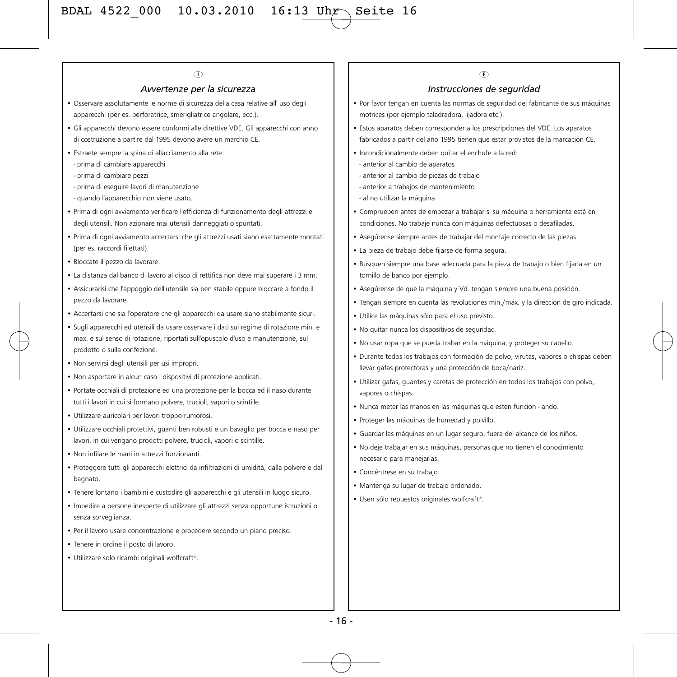#### *Avvertenze per la sicurezza*

- Osservare assolutamente le norme di sicurezza della casa relative all' uso degli apparecchi (per es. perforatrice, smerigliatrice angolare, ecc.).
- Gli apparecchi devono essere conformi alle direttive VDE. Gli apparecchi con anno di costruzione a partire dal 1995 devono avere un marchio CE.
- Estraete sempre la spina di allacciamento alla rete:
- prima di cambiare apparecchi
- prima di cambiare pezzi
- prima di eseguire lavori di manutenzione
- quando l'apparecchio non viene usato.
- Prima di ogni avviamento verificare l'efficienza di funzionamento degli attrezzi e degli utensili. Non azionare mai utensili danneggiati o spuntati.
- Prima di ogni avviamento accertarsi che gli attrezzi usati siano esattamente montati (per es. raccordi filettati).
- Bloccate il pezzo da lavorare.
- La distanza dal banco di lavoro al disco di rettifica non deve mai superare i 3 mm.
- Assicurarisi che l'appoggio dell'utensile sia ben stabile oppure bloccare a fondo il pezzo da lavorare.
- Accertarsi che sia l'operatore che gli apparecchi da usare siano stabilmente sicuri.
- Sugli apparecchi ed utensili da usare osservare i dati sul regime di rotazione min. e max. e sul senso di rotazione, riportati sull'opuscolo d'uso e manutenzione, sul prodotto o sulla confezione.
- Non servirsi degli utensili per usi impropri.
- Non asportare in alcun caso i dispositivi di protezione applicati.
- Portate occhiali di protezione ed una protezione per la bocca ed il naso durante tutti i lavori in cui si formano polvere, trucioli, vapori o scintille.
- Utilizzare auricolari per lavori troppo rumorosi.
- Utilizzare occhiali protettivi, guanti ben robusti e un bavaglio per bocca e naso per lavori, in cui vengano prodotti polvere, trucioli, vapori o scintille.
- Non infilare le mani in attrezzi funzionanti.
- Proteggere tutti gli apparecchi elettrici da infiltrazioni di umidità, dalla polvere e dal bagnato.
- Tenere lontano i bambini e custodire gli apparecchi e gli utensili in luogo sicuro.
- Impedire a persone inesperte di utilizzare gli attrezzi senza opportune istruzioni o senza sorveglianza.
- Per il lavoro usare concentrazione e procedere secondo un piano preciso.
- Tenere in ordine il posto di lavoro.
- Utilizzare solo ricambi originali wolfcraft®.

#### *Instrucciones de seguridad*

- Por favor tengan en cuenta las normas de seguridad del fabricante de sus máquinas motrices (por ejemplo taladradora, lijadora etc.).
- Estos aparatos deben corresponder a los prescripciones del VDE. Los aparatos fabricados a partir del año 1995 tienen que estar provistos de la marcación CE.
- Incondicionalmente deben quitar el enchufe a la red:
- anterior al cambio de aparatos
- anterior al cambio de piezas de trabajo
- anterior a trabajos de mantenimiento
- al no utilizar la máquina
- Comprueben antes de empezar a trabajar si su máquina o herramienta está en condiciones. No trabaje nunca con máquinas defectuosas o desafiladas.
- Asegúrense siempre antes de trabajar del montaje correcto de las piezas.
- La pieza de trabajo debe fijarse de forma segura.
- Busquen siempre una base adecuada para la pieza de trabajo o bien fijarla en un tornillo de banco por ejemplo.
- Asegúrense de que la máquina y Vd. tengan siempre una buena posición.
- Tengan siempre en cuenta las revoluciones min./máx. y la dirección de giro indicada.
- Utilice las máquinas sólo para el uso previsto.
- No quitar nunca los dispositivos de seguridad.
- No usar ropa que se pueda trabar en la máquina, y proteger su cabello.
- Durante todos los trabajos con formación de polvo, virutas, vapores o chispas deben llevar gafas protectoras y una protección de boca/nariz.
- Utilizar gafas, guantes y caretas de protección en todos los trabajos con polvo, vapores o chispas.
- Nunca meter las manos en las máquinas que esten funcion ando.
- Proteger las máquinas de humedad y polvillo.
- Guardar las máquinas en un lugar seguro, fuera del alcance de los niños.
- No deje trabajar en sus máquinas, personas que no tienen el conocimiento necesario para manejarlas.
- Concéntrese en su trabajo.
- Mantenga su lugar de trabajo ordenado.
- Usen sólo repuestos originales wolfcraft<sup>®</sup>.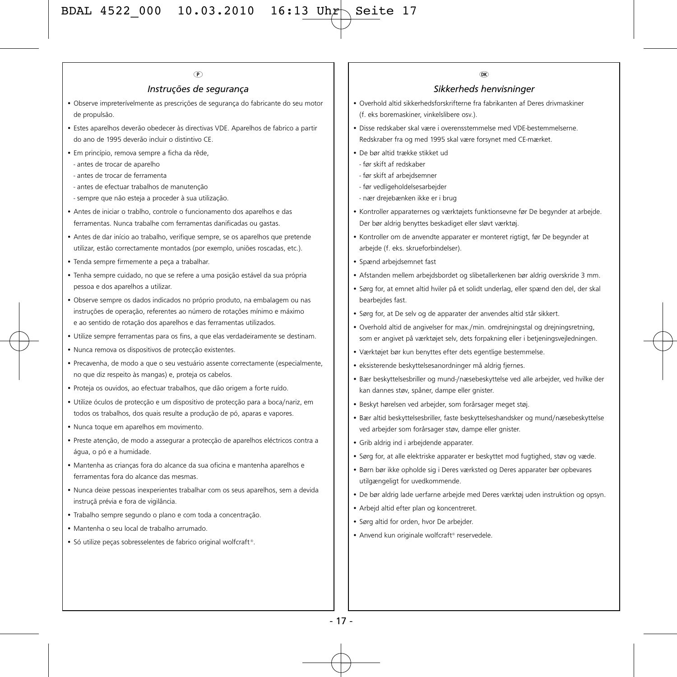#### *Instruções de segurança*

- Observe impreterívelmente as prescrições de segurança do fabricante do seu motor de propulsão.
- Estes aparelhos deverão obedecer às directivas VDE. Aparelhos de fabrico a partir do ano de 1995 deverão incluir o distintivo CE.
- Em princípio, remova sempre a ficha da rêde,
- antes de trocar de aparelho
- antes de trocar de ferramenta
- antes de efectuar trabalhos de manutenção
- sempre que não esteja a proceder à sua utilização.
- Antes de iniciar o trablho, controle o funcionamento dos aparelhos e das ferramentas. Nunca trabalhe com ferramentas danificadas ou gastas.
- Antes de dar início ao trabalho, verifique sempre, se os aparelhos que pretende utilizar, estão correctamente montados (por exemplo, uniões roscadas, etc.).
- Tenda sempre firmemente a peça a trabalhar.
- Tenha sempre cuidado, no que se refere a uma posição estável da sua própria pessoa e dos aparelhos a utilizar.
- Observe sempre os dados indicados no próprio produto, na embalagem ou nas instruções de operação, referentes ao número de rotações mínimo e máximo e ao sentido de rotação dos aparelhos e das ferramentas utilizados.
- Utilize sempre ferramentas para os fins, a que elas verdadeiramente se destinam.
- Nunca remova os dispositivos de protecção existentes.
- Precavenha, de modo a que o seu vestuário assente correctamente (especialmente, no que diz respeito às mangas) e, proteja os cabelos.
- Proteja os ouvidos, ao efectuar trabalhos, que dão origem a forte ruído.
- Utilize óculos de protecção e um dispositivo de protecção para a boca/nariz, em todos os trabalhos, dos quais resulte a produção de pó, aparas e vapores.
- Nunca toque em aparelhos em movimento.
- Preste atenção, de modo a assegurar a protecção de aparelhos eléctricos contra a água, o pó e a humidade.
- Mantenha as crianças fora do alcance da sua oficina e mantenha aparelhos e ferramentas fora do alcance das mesmas.
- Nunca deixe pessoas inexperientes trabalhar com os seus aparelhos, sem a devida instruçã prévia e fora de vigilância.
- Trabalho sempre segundo o plano e com toda a concentração.
- Mantenha o seu local de trabalho arrumado.
- Só utilize peças sobresselentes de fabrico original wolfcraft ®.

#### *Sikkerheds henvisninger*

- Overhold altid sikkerhedsforskrifterne fra fabrikanten af Deres drivmaskiner (f. eks boremaskiner, vinkelslibere osv.).
- Disse redskaber skal være i overensstemmelse med VDE-bestemmelserne. Redskraber fra og med 1995 skal være forsynet med CE-mærket.
- De bør altid trække stikket ud
- før skift af redskaber
- før skift af arbejdsemner
- før vedligeholdelsesarbejder
- nær drejebænken ikke er i brug
- Kontroller apparaternes og værktøjets funktionsevne før De begynder at arbejde. Der bør aldrig benyttes beskadiget eller sløvt værktøj.
- Kontroller om de anvendte apparater er monteret rigtigt, før De begynder at arbeide (f. eks. skrueforbindelser).
- Spænd arbejdsemnet fast
- Afstanden mellem arbejdsbordet og slibetallerkenen bør aldrig overskride 3 mm.
- Sørg for, at emnet altid hviler på et solidt underlag, eller spænd den del, der skal bearbejdes fast.
- Sørg for, at De selv og de apparater der anvendes altid står sikkert.
- Overhold altid de angivelser for max./min. omdrejningstal og drejningsretning, som er angivet på værktøjet selv, dets forpakning eller i betjeningsvejledningen.
- Værktøjet bør kun benyttes efter dets egentlige bestemmelse.
- eksisterende beskyttelsesanordninger må aldrig fjernes.
- Bær beskyttelsesbriller og mund-/næsebeskyttelse ved alle arbejder, ved hvilke der kan dannes støv, spåner, dampe eller gnister.
- Beskyt hørelsen ved arbejder, som forårsager meget støj.
- Bær altid beskyttelsesbriller, faste beskyttelseshandsker og mund/næsebeskyttelse ved arbejder som forårsager støv, dampe eller gnister.
- Grib aldrig ind i arbejdende apparater.
- Sørg for, at alle elektriske apparater er beskyttet mod fugtighed, støv og væde.
- Børn bør ikke opholde sig i Deres værksted og Deres apparater bør opbevares utilgængeligt for uvedkommende.
- De bør aldrig lade uerfarne arbejde med Deres værktøj uden instruktion og opsyn.
- Arbejd altid efter plan og koncentreret.
- Sørg altid for orden, hvor De arbejder.
- Anvend kun originale wolfcraft® reservedele.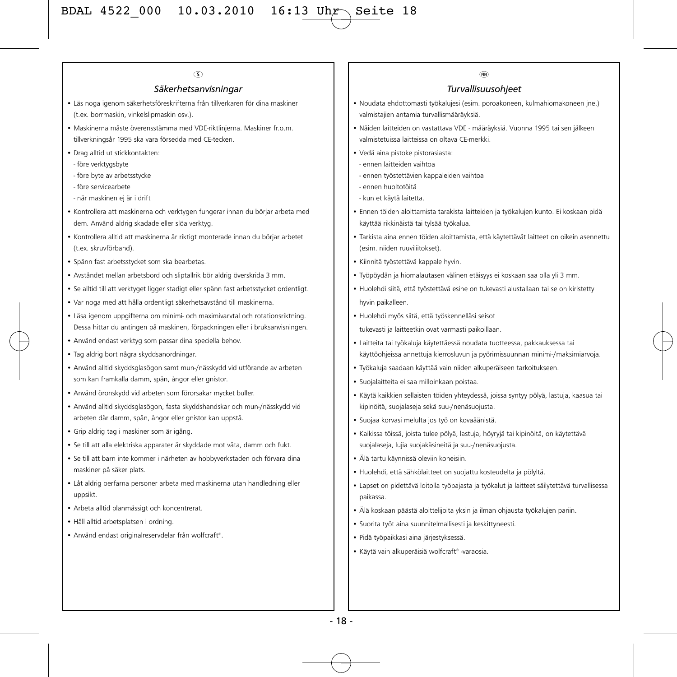#### *Säkerhetsanvisningar*

- Läs noga igenom säkerhetsföreskrifterna från tillverkaren för dina maskiner (t.ex. borrmaskin, vinkelslipmaskin osv.).
- Maskinerna måste överensstämma med VDE-riktlinjerna. Maskiner fr.o.m. tillverkningsår 1995 ska vara försedda med CE-tecken.
- Drag alltid ut stickkontakten:
- före verktygsbyte
- före byte av arbetsstycke
- före servicearbete
- när maskinen ej är i drift
- Kontrollera att maskinerna och verktygen fungerar innan du börjar arbeta med dem. Använd aldrig skadade eller slöa verktyg.
- Kontrollera alltid att maskinerna är riktigt monterade innan du börjar arbetet (t.ex. skruvförband).
- Spänn fast arbetsstycket som ska bearbetas.
- Avståndet mellan arbetsbord och sliptallrik bör aldrig överskrida 3 mm.
- Se alltid till att verktyget ligger stadigt eller spänn fast arbetsstycket ordentligt.
- Var noga med att hålla ordentligt säkerhetsavstånd till maskinerna.
- Läsa igenom uppgifterna om minimi- och maximivarvtal och rotationsriktning. Dessa hittar du antingen på maskinen, förpackningen eller i bruksanvisningen.
- Använd endast verktyg som passar dina speciella behov.
- Tag aldrig bort några skyddsanordningar.
- Använd alltid skyddsglasögon samt mun-/nässkydd vid utförande av arbeten som kan framkalla damm, spån, ångor eller gnistor.
- Använd öronskydd vid arbeten som förorsakar mycket buller.
- Använd alltid skyddsglasögon, fasta skyddshandskar och mun-/nässkydd vid arbeten där damm, spån, ångor eller gnistor kan uppstå.
- Grip aldrig tag i maskiner som är igång.
- Se till att alla elektriska apparater är skyddade mot väta, damm och fukt.
- Se till att barn inte kommer i närheten av hobbyverkstaden och förvara dina maskiner på säker plats.
- Låt aldrig oerfarna personer arbeta med maskinerna utan handledning eller uppsikt.
- Arbeta alltid planmässigt och koncentrerat.
- Håll alltid arbetsplatsen i ordning.
- Använd endast originalreservdelar från wolfcraft®.

#### *Turvallisuusohjeet*

- Noudata ehdottomasti työkalujesi (esim. poroakoneen, kulmahiomakoneen jne.) valmistajien antamia turvallismääräyksiä.
- Näiden laitteiden on vastattava VDE määräyksiä. Vuonna 1995 tai sen jälkeen valmistetuissa laitteissa on oltava CE-merkki.
- Vedä aina pistoke pistorasiasta:
- ennen laitteiden vaihtoa
- ennen työstettävien kappaleiden vaihtoa
- ennen huoltotöitä
- kun et käytä laitetta.
- Ennen töiden aloittamista tarakista laitteiden ja työkalujen kunto. Ei koskaan pidä käyttää rikkinäistä tai tylsää työkalua.
- Tarkista aina ennen töiden aloittamista, että käytettävät laitteet on oikein asennettu (esim. niiden ruuviliitokset).
- Kiinnitä työstettävä kappale hyvin.
- Työpöydän ja hiomalautasen välinen etäisyys ei koskaan saa olla yli 3 mm.
- Huolehdi siitä, että työstettävä esine on tukevasti alustallaan tai se on kiristetty hyvin paikalleen.
- Huolehdi myös siitä, että työskennelläsi seisot

tukevasti ja laitteetkin ovat varmasti paikoillaan.

- Laitteita tai työkaluja käytettäessä noudata tuotteessa, pakkauksessa tai käyttöohjeissa annettuja kierrosluvun ja pyörimissuunnan minimi-/maksimiarvoja.
- Työkaluja saadaan käyttää vain niiden alkuperäiseen tarkoitukseen.
- Suojalaitteita ei saa milloinkaan poistaa.
- Käytä kaikkien sellaisten töiden yhteydessä, joissa syntyy pölyä, lastuja, kaasua tai kipinöitä, suojalaseja sekä suu-/nenäsuojusta.
- Suojaa korvasi melulta jos työ on kovaäänistä.
- Kaikissa töissä, joista tulee pölyä, lastuja, höyryjä tai kipinöitä, on käytettävä suojalaseja, lujia suojakäsineitä ja suu-/nenäsuojusta.
- Älä tartu käynnissä oleviin koneisiin.
- Huolehdi, että sähkölaitteet on suojattu kosteudelta ja pölyltä.
- Lapset on pidettävä loitolla työpajasta ja työkalut ja laitteet säilytettävä turvallisessa paikassa.
- Älä koskaan päästä aloittelijoita yksin ja ilman ohjausta työkalujen pariin.
- Suorita työt aina suunnitelmallisesti ja keskittyneesti.
- Pidä työpaikkasi aina järjestyksessä.
- Käytä vain alkuperäisiä wolfcraft® -varaosia.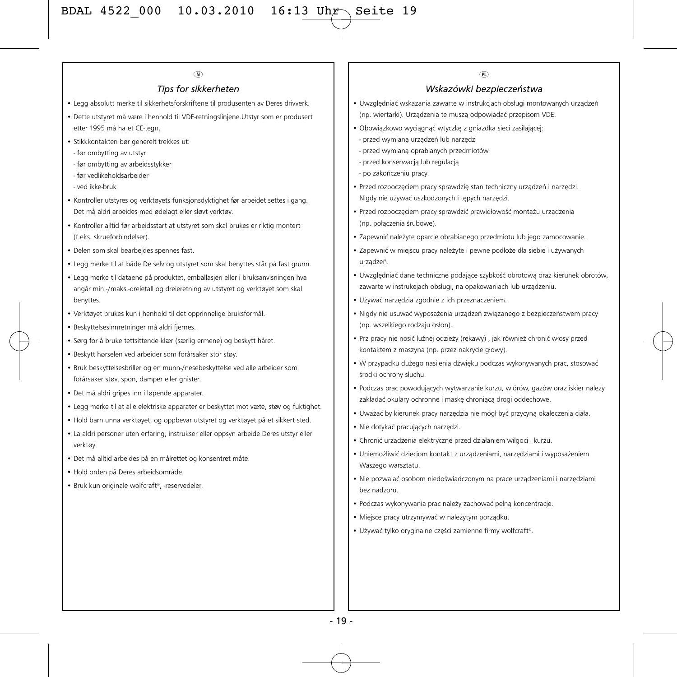#### *Tips for sikkerheten*

- Legg absolutt merke til sikkerhetsforskriftene til produsenten av Deres drivverk.
- Dette utstyret må være i henhold til VDE-retningslinjene.Utstyr som er produsert etter 1995 må ha et CE-tegn.
- Stikkkontakten bør generelt trekkes ut:
- før ombytting av utstyr
- før ombytting av arbeidsstykker
- før vedlikeholdsarbeider
- ved ikke-bruk
- Kontroller utstyres og verktøyets funksjonsdyktighet før arbeidet settes i gang. Det må aldri arbeides med ødelagt eller sløvt verktøy.
- Kontroller alltid før arbeidsstart at utstyret som skal brukes er riktig montert (f.eks. skrueforbindelser).
- Delen som skal bearbejdes spennes fast.
- Legg merke til at både De selv og utstyret som skal benyttes står på fast grunn.
- Legg merke til dataene på produktet, emballasjen eller i bruksanvisningen hva angår min.-/maks.-dreietall og dreieretning av utstyret og verktøyet som skal benyttes.
- Verktøyet brukes kun i henhold til det opprinnelige bruksformål.
- Beskyttelsesinnretninger må aldri fjernes.
- Sørg for å bruke tettsittende klær (særlig ermene) og beskytt håret.
- Beskytt hørselen ved arbeider som forårsaker stor støy.
- Bruk beskyttelsesbriller og en munn-/nesebeskyttelse ved alle arbeider som forårsaker støv, spon, damper eller gnister.
- Det må aldri gripes inn i løpende apparater.
- Legg merke til at alle elektriske apparater er beskyttet mot væte, støv og fuktighet.
- Hold barn unna verktøyet, og oppbevar utstyret og verktøyet på et sikkert sted.
- La aldri personer uten erfaring, instrukser eller oppsyn arbeide Deres utstyr eller verktøy.
- Det må alltid arbeides på en målrettet og konsentret måte.
- Hold orden på Deres arbeidsområde.
- Bruk kun originale wolfcraft®, -reservedeler.

#### *Wskazówki bezpieczeństwa*

- Uwzględniać wskazania zawarte w instrukcjach obsługi montowanych urządzeń (np. wiertarki). Urządzenia te muszą odpowiadać przepisom VDE.
- Obowiązkowo wyciągnąć wtyczkę z gniazdka sieci zasilającej:
- przed wymianą urządzeń lub narzędzi
- przed wymianą oprabianych przedmiotów
- przed konserwacją lub regulacją
- po zakończeniu pracy.
- Przed rozpoczęciem pracy sprawdzię stan techniczny urządzeń i narzędzi. Nigdy nie używać uszkodzonych i tępych narzędzi.
- Przed rozpoczęciem pracy sprawdzić prawidłowość montażu urządzenia (np. połączenia śrubowe).
- Zapewnić należyte oparcie obrabianego przedmiotu lub jego zamocowanie.
- Zapewnić w miejscu pracy należyte i pewne podłoże dła siebie i używanych urządzeń.
- Uwzględniać dane techniczne podające szybkość obrotową oraz kierunek obrotów, zawarte w instrukejach obsługi, na opakowaniach lub urządzeniu.
- Używać narzędzia zgodnie z ich przeznaczeniem.
- Nigdy nie usuwać wyposażenia urządzeń związanego z bezpieczeństwem pracy (np. wszelkiego rodzaju osłon).
- Prz pracy nie nosić luźnej odzieży (rękawy) , jak również chronić włosy przed kontaktem z maszyna (np. przez nakrycie głowy).
- W przypadku dużego nasilenia dźwięku podczas wykonywanych prac, stosować środki ochrony słuchu.
- Podczas prac powodujących wytwarzanie kurzu, wiórów, gazów oraz iskier należy zakładać okulary ochronne i maskę chroniącą drogi oddechowe.
- Uważać by kierunek pracy narzędzia nie mógł być przycyną okaleczenia ciała.
- Nie dotykać pracujących narzędzi.
- Chronić urządzenia elektryczne przed działaniem wilgoci i kurzu.
- Uniemożliwić dzieciom kontakt z urządzeniami, narzędziami i wyposażeniem Waszego warsztatu.
- Nie pozwalać osobom niedoświadczonym na prace urządzeniami i narzędziami bez nadzoru.
- Podczas wykonywania prac należy zachować pełną koncentracje.
- Miejsce pracy utrzymywać w należytym porządku.
- Używać tylko oryginalne części zamienne firmy wolfcraft®.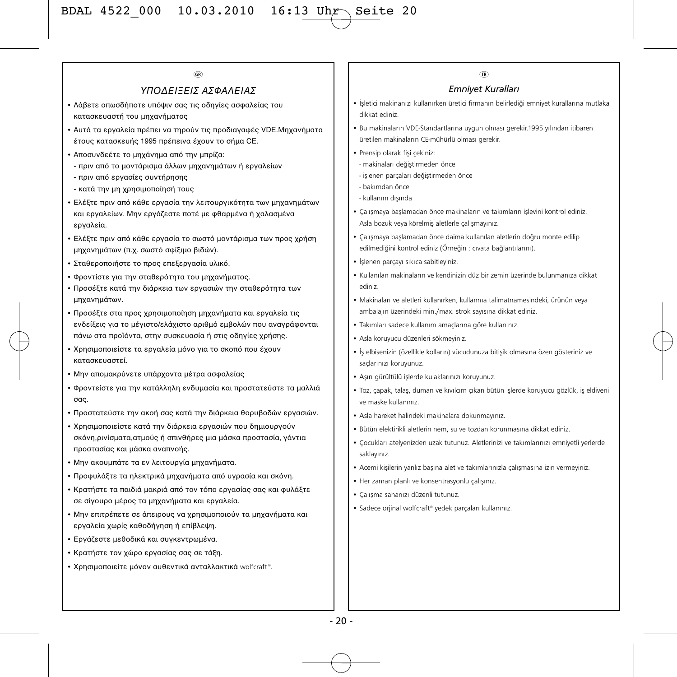#### ΥΠΟΛΕΙΞΕΙΣ ΑΣΦΑΛΕΙΑΣ

- Λάβετε οπωσδήποτε υπόψιν σας τις οδηγίες ασφαλείας του κατασκευαστή του μηγανήματος
- Αυτά τα εργαλεία πρέπει να τηρούν τις προδιαγαφές VDE.Μηγανήματα έτους κατασκευής 1995 πρέπεινα έχουν το σήμα CE.
- Αποσυνδεέτε το μηχάνημα από την μπρίζα:
- πριν από το μοντάρισμα άλλων μηγανημάτων ή εργαλείων
- πριν από εργασίες συντήρησης
- κατά την μη χρησιμοποίησή τους
- Ελέξτε πριν από κάθε εργασία την λειτομργικότητα των μηγανημάτων και εργαλείων. Μην εργάζεστε ποτέ με φθαρμένα ή γαλασμένα ερναλεία.
- Ελέξτε πριν από κάθε εργασία το σωστό μοντάρισμα των προς χρήση μηγανημάτων (π.γ. σωστό σφίξιμο βιδών).
- Σταθεροποιήστε το προς επεξεργασία υλικό.
- Φροντίστε για την σταθερότητα του μηγανήματος.
- Προσέξτε κατά την διάρκεια των εργασιών την σταθερότητα των μηχανημάτων.
- Προσέξτε στα προς χρησιμοποίηση μηχανήματα και εργαλεία τις ενδείξεις για το μέγιστο/ελάγιστο αριθμό εμβολών που αναγράφονται πάνω στα προϊόντα, στην συσκευασία ή στις οδηγίες χρήσης.
- Χρησιμοποιείστε τα εργαλεία μόνο για το σκοπό που έχουν κατασκευαστε.
- Μην απομακρύνετε υπάργοντα μέτρα ασφαλείας
- Φροντείστε για την κατάλληλη ενδυμασία και προστατεύστε τα μαλλιά σας.
- Προστατεύστε την ακοή σας κατά την διάρκεια θρουβοδών εργασιών.
- Χρησιμοποιείστε κατά την διάρκεια εργασιών που δημιομργούν σκόνη,ρινίσματα,ατμούς ή σπινθήρες μια μάσκα προστασία, νάντια προστασίας και μάσκα αναπνοής.
- Μην ακομμπάτε τα εν λειτομονία μηνανήματα.
- Προφυλάξτε τα ηλεκτρικά μηχανήματα από υγρασία και σκόνη.
- Κρατήστε τα παιδιά μακριά από τον τόπο εργασίας σας και φυλάξτε σε σίνομοο μέρος τα μηγανήματα και εργαλεία.
- Μην επιτρέπετε σε άπειρους να χρησιμοποιούν τα μηχανήματα και εργαλεία χωρίς καθοδήνηση ή επίβλεψη.
- Εργάζεστε μεθοδικά και συνκεντρωμένα.
- Κρατήστε τον χώρο εργασίας σας σε τάξη.
- Χρησιμοποιείτε μόνον αυθεντικά ανταλλακτικά wolfcraft<sup>®</sup>.

#### *Emniyet Kuralları*

- İşletici makinanızı kullanırken üretici firmanın belirlediği emniyet kurallarına mutlaka dikkat ediniz.
- Bu makinaların VDE-Standartlarına uygun olması gerekir.1995 yılından itibaren üretilen makinaların CE-mühürlü olması gerekir.
- Prensip olarak fişi çekiniz:
- makinaları değiştirmeden önce
- işlenen parçaları değiştirmeden önce
- bakımdan önce
- kullanım dışında
- Çalışmaya başlamadan önce makinaların ve takımların işlevini kontrol ediniz. Asla bozuk veya körelmiş aletlerle çalışmayınız.
- Çalışmaya başlamadan önce daima kullanılan aletlerin doğru monte edilip edilmediğini kontrol ediniz (Örneğin : cıvata bağlantılarını).
- İşlenen parçayı sıkıca sabitleyiniz.
- Kullanılan makinaların ve kendinizin düz bir zemin üzerinde bulunmanıza dikkat ediniz.
- Makinaları ve aletleri kullanırken, kullanma talimatnamesindeki, ürünün veya ambalajın üzerindeki min./max. strok sayısına dikkat ediniz.
- Takımları sadece kullanım amaçlarına göre kullanınız.
- Asla koruyucu düzenleri sökmeyiniz.
- İş elbisenizin (özellikle kolların) vücudunuza bitişik olmasına özen gösteriniz ve saçlarınızı koruyunuz.
- Aşırı gürültülü işlerde kulaklarınızı koruyunuz.
- Toz, çapak, talaş, duman ve kıvılcım çıkan bütün işlerde koruyucu gözlük, iş eldiveni ve maske kullanınız.
- Asla hareket halindeki makinalara dokunmayınız.
- Bütün elektirikli aletlerin nem, su ve tozdan korunmasına dikkat ediniz.
- Çocukları atelyenizden uzak tutunuz. Aletlerinizi ve takımlarınızı emniyetli yerlerde saklayınız.
- Acemi kişilerin yanlız başına alet ve takımlarınızla çalışmasına izin vermeyiniz.
- Her zaman planlı ve konsentrasyonlu çalışınız.
- Çalışma sahanızı düzenli tutunuz.
- Sadece orjinal wolfcraft® yedek parçaları kullanınız.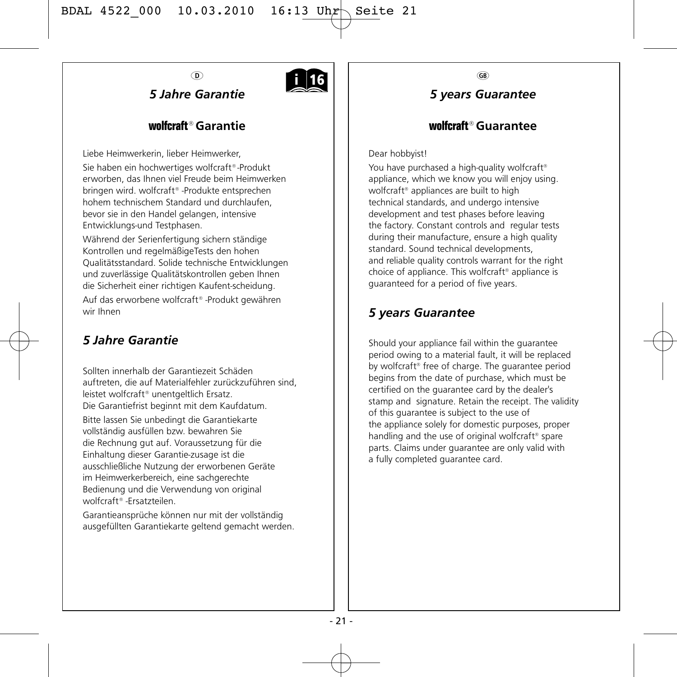$\bigcap$ 



### **wolfcraft**® Garantie

Liebe Heimwerkerin, lieber Heimwerker,

Sie haben ein hochwertiges wolfcraft® -Produkt erworben, das Ihnen viel Freude beim Heimwerken bringen wird. wolfcraft® -Produkte entsprechen hohem technischem Standard und durchlaufen, bevor sie in den Handel gelangen, intensive Entwicklungs-und Testphasen.

Während der Serienfertigung sichern ständige Kontrollen und regelmäßigeTests den hohen Qualitätsstandard. Solide technische Entwicklungen und zuverlässige Qualitätskontrollen geben Ihnen die Sicherheit einer richtigen Kaufent-scheidung. Auf das erworbene wolfcraft® -Produkt gewähren wir Ihnen

### *5 Jahre Garantie*

Sollten innerhalb der Garantiezeit Schäden auftreten, die auf Materialfehler zurückzuführen sind, leistet wolfcraft® unentgeltlich Ersatz. Die Garantiefrist beginnt mit dem Kaufdatum.

Bitte lassen Sie unbedingt die Garantiekarte vollständig ausfüllen bzw. bewahren Sie die Rechnung gut auf. Voraussetzung für die Einhaltung dieser Garantie-zusage ist die ausschließliche Nutzung der erworbenen Geräte im Heimwerkerbereich, eine sachgerechte Bedienung und die Verwendung von original wolfcraft® -Ersatzteilen.

Garantieansprüche können nur mit der vollständig ausgefüllten Garantiekarte geltend gemacht werden.



### $\widehat{G}$ <sub>R</sub> *5 years Guarantee*

### **wolfcraft**® Guarantee

#### Dear hobbyist!

You have purchased a high-quality wolfcraft® appliance, which we know you will enjoy using. wolfcraft® appliances are built to high technical standards, and undergo intensive development and test phases before leaving the factory. Constant controls and regular tests during their manufacture, ensure a high quality standard. Sound technical developments, and reliable quality controls warrant for the right choice of appliance. This wolfcraft® appliance is guaranteed for a period of five years.

### *5 years Guarantee*

Should your appliance fail within the guarantee period owing to a material fault, it will be replaced by wolfcraft® free of charge. The guarantee period begins from the date of purchase, which must be certified on the guarantee card by the dealer's stamp and signature. Retain the receipt. The validity of this guarantee is subject to the use of the appliance solely for domestic purposes, proper handling and the use of original wolfcraft® spare parts. Claims under guarantee are only valid with a fully completed guarantee card.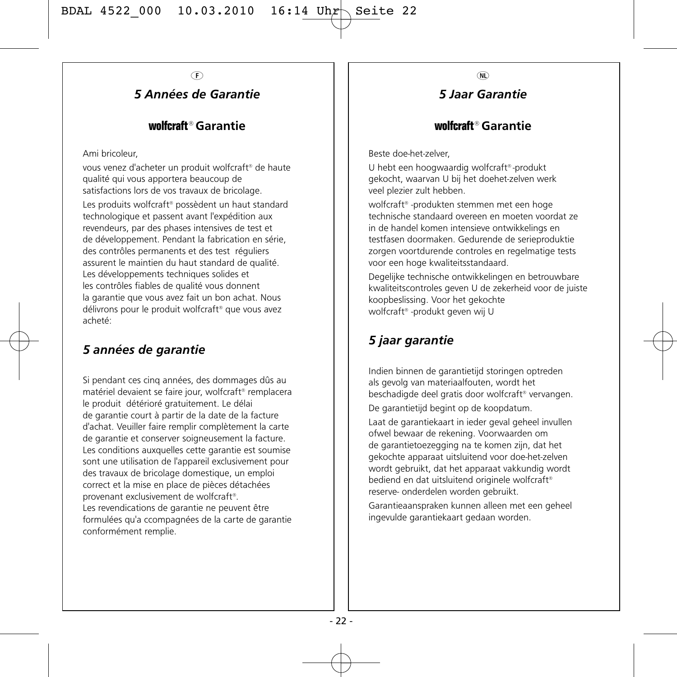#### $\sqrt{F}$

### *5 Années de Garantie*

### **wolfcraft**® Garantie

Ami bricoleur,

vous venez d'acheter un produit wolfcraft® de haute qualité qui vous apportera beaucoup de satisfactions lors de vos travaux de bricolage. Les produits wolfcraft® possèdent un haut standard technologique et passent avant l'expédition aux revendeurs, par des phases intensives de test et de développement. Pendant la fabrication en série, des contrôles permanents et des test réguliers assurent le maintien du haut standard de qualité. Les développements techniques solides et les contrôles fiables de qualité vous donnent la garantie que vous avez fait un bon achat. Nous délivrons pour le produit wolfcraft® que vous avez acheté:

### *5 années de garantie*

Si pendant ces cinq années, des dommages dûs au matériel devaient se faire jour, wolfcraft® remplacera le produit détérioré gratuitement. Le délai de garantie court à partir de la date de la facture d'achat. Veuiller faire remplir complètement la carte de garantie et conserver soigneusement la facture. Les conditions auxquelles cette garantie est soumise sont une utilisation de l'appareil exclusivement pour des travaux de bricolage domestique, un emploi correct et la mise en place de pièces détachées provenant exclusivement de wolfcraft®. Les revendications de garantie ne peuvent être

formulées qu'a ccompagnées de la carte de garantie conformément remplie.

 $\overline{M}$ 

### *5 Jaar Garantie*

### **wolfcraft**® Garantie

Beste doe-het-zelver,

U hebt een hoogwaardig wolfcraft® -produkt gekocht, waarvan U bij het doehet-zelven werk veel plezier zult hebben.

wolfcraft® -produkten stemmen met een hoge technische standaard overeen en moeten voordat ze in de handel komen intensieve ontwikkelings en testfasen doormaken. Gedurende de serieproduktie zorgen voortdurende controles en regelmatige tests voor een hoge kwaliteitsstandaard.

Degelijke technische ontwikkelingen en betrouwbare kwaliteitscontroles geven U de zekerheid voor de juiste koopbeslissing. Voor het gekochte wolfcraft® -produkt geven wij U

### *5 jaar garantie*

Indien binnen de garantietijd storingen optreden als gevolg van materiaalfouten, wordt het beschadigde deel gratis door wolfcraft® vervangen.

De garantietijd begint op de koopdatum.

Laat de garantiekaart in ieder geval geheel invullen ofwel bewaar de rekening. Voorwaarden om de garantietoezegging na te komen zijn, dat het gekochte apparaat uitsluitend voor doe-het-zelven wordt gebruikt, dat het apparaat vakkundig wordt bediend en dat uitsluitend originele wolfcraft® reserve- onderdelen worden gebruikt.

Garantieaanspraken kunnen alleen met een geheel ingevulde garantiekaart gedaan worden.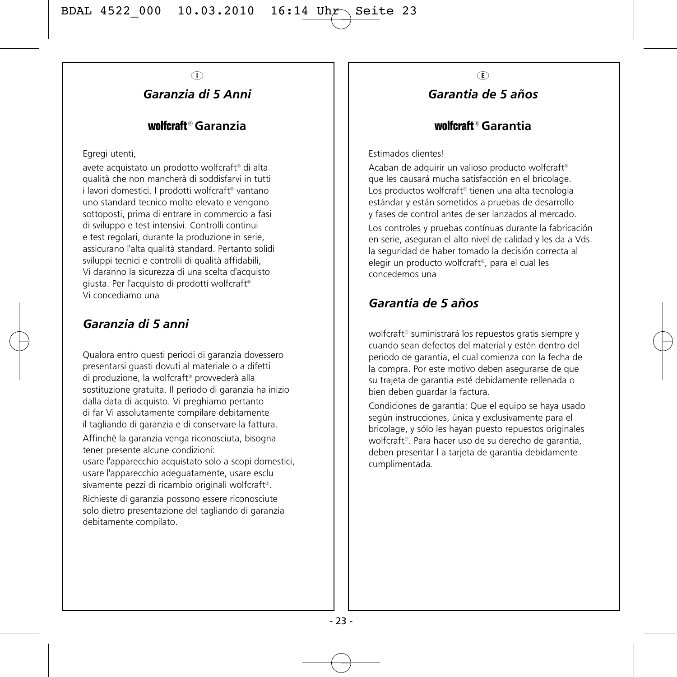$\bigcap$ 

### *Garanzia di 5 Anni*

### **wolfcraft**® Garanzia

Egregi utenti,

avete acquistato un prodotto wolfcraft® di alta qualità che non mancherà di soddisfarvi in tutti i lavori domestici. I prodotti wolfcraft® vantano uno standard tecnico molto elevato e vengono sottoposti, prima di entrare in commercio a fasi di sviluppo e test intensivi. Controlli continui e test regolari, durante la produzione in serie, assicurano l'alta qualità standard. Pertanto solidi sviluppi tecnici e controlli di qualità affidabili, Vi daranno la sicurezza di una scelta d'acquisto giusta. Per l'acquisto di prodotti wolfcraft<sup>®</sup> Vi concediamo una

### *Garanzia di 5 anni*

Qualora entro questi periodi di garanzia dovessero presentarsi guasti dovuti al materiale o a difetti di produzione, la wolfcraft® provvederà alla sostituzione gratuita. Il periodo di garanzia ha inizio dalla data di acquisto. Vi preghiamo pertanto di far Vi assolutamente compilare debitamente il tagliando di garanzia e di conservare la fattura.

Affinchè la garanzia venga riconosciuta, bisogna tener presente alcune condizioni: usare l'apparecchio acquistato solo a scopi domestici, usare l'apparecchio adeguatamente, usare esclu sivamente pezzi di ricambio originali wolfcraft®.

Richieste di garanzia possono essere riconosciute solo dietro presentazione del tagliando di garanzia debitamente compilato.

 $\mathcal{F}$ 

### *Garantia de 5 años*

### **wolfcraft**® Garantia

Estimados clientes!

Acaban de adquirir un valioso producto wolfcraft® que les causará mucha satisfacción en el bricolage. Los productos wolfcraft<sup>®</sup> tienen una alta tecnologia estándar y están sometidos a pruebas de desarrollo y fases de control antes de ser lanzados al mercado.

Los controles y pruebas contínuas durante la fabricación en serie, aseguran el alto nivel de calidad y les da a Vds. la seguridad de haber tomado la decisión correcta al elegir un producto wolfcraft®, para el cual les concedemos una

### *Garantia de 5 años*

wolfcraft® suministrará los repuestos gratis siempre y cuando sean defectos del material y estén dentro del periodo de garantia, el cual comienza con la fecha de la compra. Por este motivo deben asegurarse de que su trajeta de garantia esté debidamente rellenada o bien deben guardar la factura.

Condiciones de garantia: Que el equipo se haya usado según instrucciones, única y exclusivamente para el bricolage, y sólo les hayan puesto repuestos originales wolfcraft®. Para hacer uso de su derecho de garantia, deben presentar l a tarjeta de garantia debidamente cumplimentada.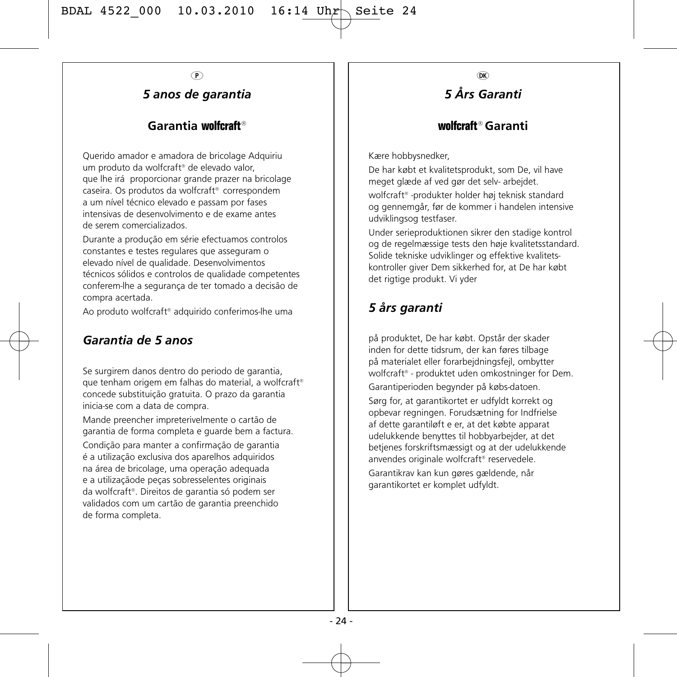$\overline{P}$ 

### *5 anos de garantia*

#### Garantia **wolfcraft**®

Querido amador e amadora de bricolage Adquiriu um produto da wolfcraft® de elevado valor, que lhe irá proporcionar grande prazer na bricolage caseira. Os produtos da wolfcraft® correspondem a um nível técnico elevado e passam por fases intensivas de desenvolvimento e de exame antes de serem comercializados.

Durante a produção em série efectuamos controlos constantes e testes regulares que asseguram o elevado nível de qualidade. Desenvolvimentos técnicos sólidos e controlos de qualidade competentes conferem-lhe a segurança de ter tomado a decisão de compra acertada.

Ao produto wolfcraft® adquirido conferimos-lhe uma

### *Garantia de 5 anos*

Se surgirem danos dentro do periodo de garantia, que tenham origem em falhas do material, a wolfcraft<sup>®</sup> concede substituição gratuita. O prazo da garantia inicia-se com a data de compra.

Mande preencher impreterivelmente o cartão de garantia de forma completa e guarde bem a factura.

Condição para manter a confirmação de garantia é a utilização exclusiva dos aparelhos adquiridos na área de bricolage, uma operação adequada e a utilizaçãode peças sobresselentes originais da wolfcraft®. Direitos de garantia só podem ser validados com um cartão de garantia preenchido de forma completa.

#### **wolfcraft**® Garanti

Kære hobbysnedker,

De har købt et kvalitetsprodukt, som De, vil have meget glæde af ved gør det selv- arbejdet.

wolfcraft® -produkter holder høj teknisk standard og gennemgår, før de kommer i handelen intensive udviklingsog testfaser.

Under serieproduktionen sikrer den stadige kontrol og de regelmæssige tests den høje kvalitetsstandard. Solide tekniske udviklinger og effektive kvalitetskontroller giver Dem sikkerhed for, at De har købt det rigtige produkt. Vi yder

### *5 års garanti*

på produktet, De har købt. Opstår der skader inden for dette tidsrum, der kan føres tilbage på materialet eller forarbejdningsfejl, ombytter wolfcraft® - produktet uden omkostninger for Dem.

Garantiperioden begynder på købs-datoen. Sørg for, at garantikortet er udfyldt korrekt og opbevar regningen. Forudsætning for Indfrielse af dette garantiløft e er, at det købte apparat udelukkende benyttes til hobbyarbejder, at det betjenes forskriftsmæssigt og at der udelukkende anvendes originale wolfcraft® reservedele.

Garantikrav kan kun gøres gældende, når garantikortet er komplet udfyldt.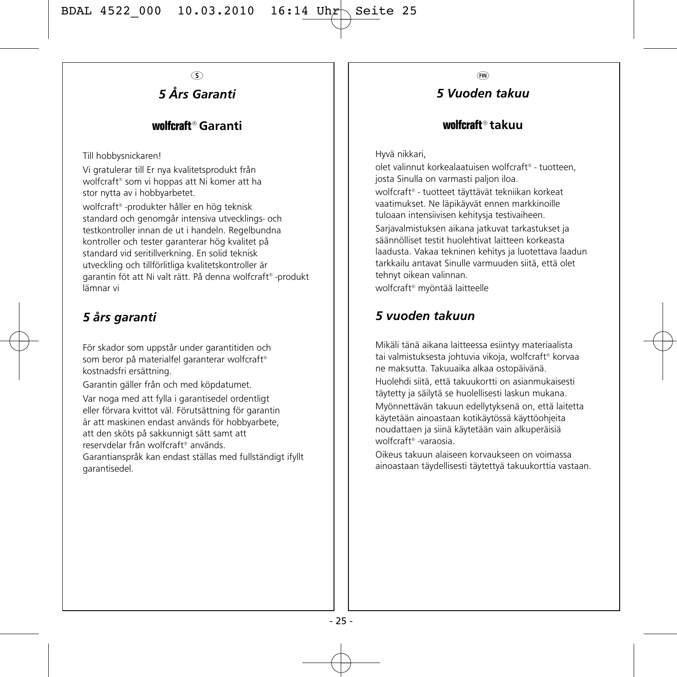### $\widehat{\mathcal{S}}$ *5 Års Garanti*

### **wolfcraft**® Garanti

Till hobbysnickaren!

Vi gratulerar till Er nya kvalitetsprodukt från wolfcraft® som vi hoppas att Ni komer att ha stor nytta av i hobbyarbetet. wolfcraft® -produkter håller en hög teknisk standard och genomgår intensiva utvecklings- och testkontroller innan de ut i handeln. Regelbundna kontroller och tester garanterar hög kvalitet på standard vid seritillverkning. En solid teknisk utveckling och tillförlitliga kvalitetskontroller är garantin föt att Ni valt rätt. På denna wolfcraft® -produkt lämnar vi

## *5 års garanti*

För skador som uppstår under garantitiden och som beror på materialfel garanterar wolfcraft® kostnadsfri ersättning.

Garantin gäller från och med köpdatumet. Var noga med att fylla i garantisedel ordentligt eller förvara kvittot väl. Förutsättning för garantin är att maskinen endast används för hobbyarbete, att den sköts på sakkunnigt sätt samt att reservdelar från wolfcraft® används. Garantianspråk kan endast ställas med fullständigt ifyllt garantisedel.

### *5 Vuoden takuu*

### **wolfcraft**® takuu

Hyvä nikkari,

olet valinnut korkealaatuisen wolfcraft® - tuotteen, josta Sinulla on varmasti paljon iloa. wolfcraft® - tuotteet täyttävät tekniikan korkeat vaatimukset. Ne läpikäyvät ennen markkinoille tuloaan intensiivisen kehitysja testivaiheen.

Sarjavalmistuksen aikana jatkuvat tarkastukset ja säännölliset testit huolehtivat laitteen korkeasta laadusta. Vakaa tekninen kehitys ja luotettava laadun tarkkailu antavat Sinulle varmuuden siitä, että olet tehnyt oikean valinnan.

wolfcraft® myöntää laitteelle

## *5 vuoden takuun*

Mikäli tänä aikana laitteessa esiintyy materiaalista tai valmistuksesta johtuvia vikoja, wolfcraft® korvaa ne maksutta. Takuuaika alkaa ostopäivänä. Huolehdi siitä, että takuukortti on asianmukaisesti täytetty ja säilytä se huolellisesti laskun mukana. Myönnettävän takuun edellytyksenä on, että laitetta käytetään ainoastaan kotikäytössä käyttöohjeita noudattaen ja siinä käytetään vain alkuperäisiä wolfcraft® -varaosia.

Oikeus takuun alaiseen korvaukseen on voimassa ainoastaan täydellisesti täytettyä takuukorttia vastaan.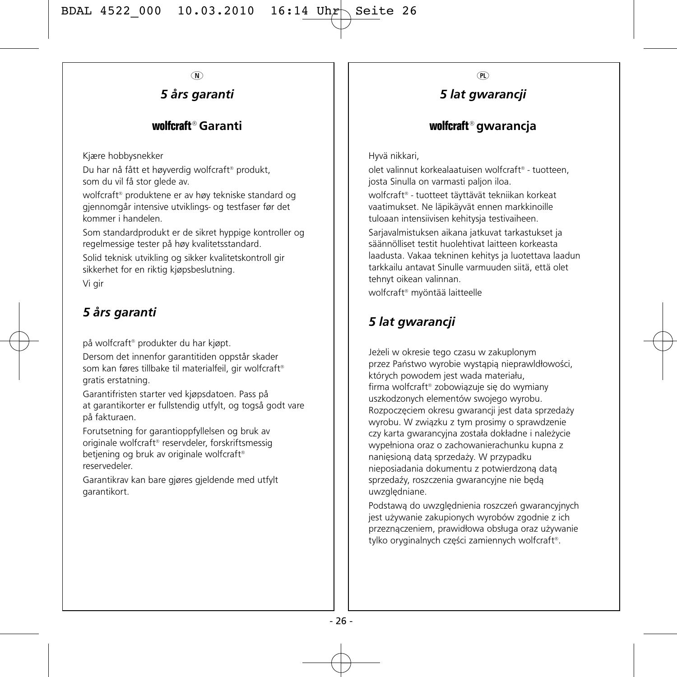$\overline{N}$ 

*5 års garanti*

### **wolfcraft**® Garanti

#### Kjære hobbysnekker

Du har nå fått et høyverdig wolfcraft® produkt, som du vil få stor glede av.

wolfcraft® produktene er av høy tekniske standard og gjennomgår intensive utviklings- og testfaser før det kommer i handelen.

Som standardprodukt er de sikret hyppige kontroller og regelmessige tester på høy kvalitetsstandard.

Solid teknisk utvikling og sikker kvalitetskontroll gir sikkerhet for en riktig kjøpsbeslutning.

Vi gir

### *5 års garanti*

på wolfcraft® produkter du har kjøpt.

Dersom det innenfor garantitiden oppstår skader som kan føres tillbake til materialfeil, gir wolfcraft® gratis erstatning.

Garantifristen starter ved kjøpsdatoen. Pass på at garantikorter er fullstendig utfylt, og togså godt vare på fakturaen.

Forutsetning for garantioppfyllelsen og bruk av originale wolfcraft® reservdeler, forskriftsmessig betjening og bruk av originale wolfcraft® reservedeler.

Garantikrav kan bare gjøres gjeldende med utfylt garantikort.

 $\sqrt{N}$ 

### *5 lat gwarancji*

### **wolfcraft**® gwarancja

Hyvä nikkari,

olet valinnut korkealaatuisen wolfcraft® - tuotteen, josta Sinulla on varmasti paljon iloa.

wolfcraft® - tuotteet täyttävät tekniikan korkeat vaatimukset. Ne läpikäyvät ennen markkinoille tuloaan intensiivisen kehitysja testivaiheen.

Sarjavalmistuksen aikana jatkuvat tarkastukset ja säännölliset testit huolehtivat laitteen korkeasta laadusta. Vakaa tekninen kehitys ja luotettava laadun tarkkailu antavat Sinulle varmuuden siitä, että olet tehnyt oikean valinnan.

wolfcraft® myöntää laitteelle

### *5 lat gwarancji*

Jeżeli w okresie tego czasu w zakuplonym przez Państwo wyrobie wystąpią nieprawldłowości, których powodem jest wada materiału, firma wolfcraft® zobowiązuje się do wymiany uszkodzonych elementów swojego wyrobu. Rozpoczęciem okresu gwarancji jest data sprzedaży wyrobu. W związku z tym prosimy o sprawdzenie czy karta gwarancyjna została dokładne i należycie wypełniona oraz o zachowanierachunku kupna z nanięsioną datą sprzedaży. W przypadku nieposiadania dokumentu z potwierdzoną datą sprzedaźy, roszczenia gwarancyjne nie będą uwzględniane.

Podstawą do uwzględnienia roszczeń gwarancyjnych jest używanie zakupionych wyrobów zgodnie z ich przeznączeniem, prawidłowa obsługa oraz używanie tylko oryginalnych części zamiennych wolfcraft®.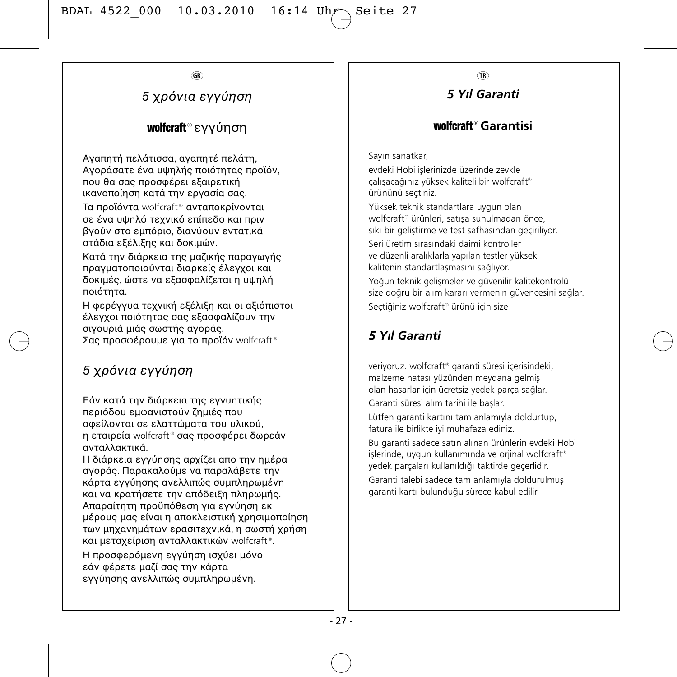$\overline{G}$ 

### 5 
ρνια εγγηση

### **wolfcraft**® εγγηση

Αναπητή πελάτισσα, αναπητέ πελάτη, Ανοράσατε ένα υψηλής ποιότητας προϊόν. που θα σας προσφέρει εξαιρετική ικανοποίηση κατά την εργασία σας.

Τα προἴόντα wolfcraft<sup>®</sup> ανταποκρίνονται σε ένα υψηλό τεχνικό επίπεδο και πριν βνούν στο εμπόριο, διανύουν εντατικά στάδια εξέλιξης και δοκιμών.

Κατά την διάρκεια της μαζικής παραγωγής πραγματοποιούνται διαρκείς έλεγγοι και δοκιμές, ώστε να εξασφαλίζεται η υψηλή ποιότητα

Η φερέγγυα τεχνική εξέλιξη και οι αξιόπιστοι έλενχοι ποιότητας σας εξασφαλίζουν την σιγουριά μιάς σωστής αγοράς. Σας προσφέρουμε για το προΐόν wolfcraft<sup>®</sup>

### 5 
ρνια εγγηση

Εάν κατά την διάρκεια της εγγυητικής περιόδου εμφανιστούν ζημιές που οφείλονται σε ελαττώματα του υλικού. η εταιρεία wolfcraft<sup>®</sup> σας προσφέρει δωρεάν ανταλλακτικά

Η διάρκεια εγγύησης αργίζει απο την ημέρα ανοράς. Παρακαλούμε να παραλάβετε την κάρτα εννύησης ανελλιπώς συμπληρωμένη και να κρατήσετε την απόδειξη πληρωμής. Απαραίτητη προϋπόθεση για εγγύηση εκ μέρους μας είναι η αποκλειστική χρησιμοποίηση των μηχανημάτων ερασιτεχνικά, η σωστή χρήση και μεταχείριση ανταλλακτικών wolfcraft<sup>®</sup>.

Η προσφερόμενη εννύηση ισχύει μόνο εάν φέρετε μαζί σας την κάρτα εννύησης ανελλιπώς συμπληρωμένη.

 $\sqrt{10}$ 

### *5 Yıl Garanti*

### **wolfcraft**® Garantisi

Sayın sanatkar,

evdeki Hobi işlerinizde üzerinde zevkle çalışacağınız yüksek kaliteli bir wolfcraft® ürününü seçtiniz.

Yüksek teknik standartlara uygun olan wolfcraft® ürünleri, satışa sunulmadan önce, sıkı bir geliştirme ve test safhasından geçiriliyor. Seri üretim sırasındaki daimi kontroller ve düzenli aralıklarla yapılan testler yüksek kalitenin standartlaşmasını sağlıyor.

Yoğun teknik gelişmeler ve güvenilir kalitekontrolü size doğru bir alım kararı vermenin güvencesini sağlar.

Seçtiğiniz wolfcraft® ürünü için size

### *5 Yıl Garanti*

veriyoruz. wolfcraft® garanti süresi içerisindeki, malzeme hatası yüzünden meydana gelmiş olan hasarlar için ücretsiz yedek parça sağlar.

Garanti süresi alım tarihi ile başlar. Lütfen garanti kartını tam anlamıyla doldurtup, fatura ile birlikte iyi muhafaza ediniz.

Bu garanti sadece satın alınan ürünlerin evdeki Hobi işlerinde, uygun kullanımında ve orjinal wolfcraft® yedek parçaları kullanıldığı taktirde geçerlidir. Garanti talebi sadece tam anlamıyla doldurulmuş garanti kartı bulunduğu sürece kabul edilir.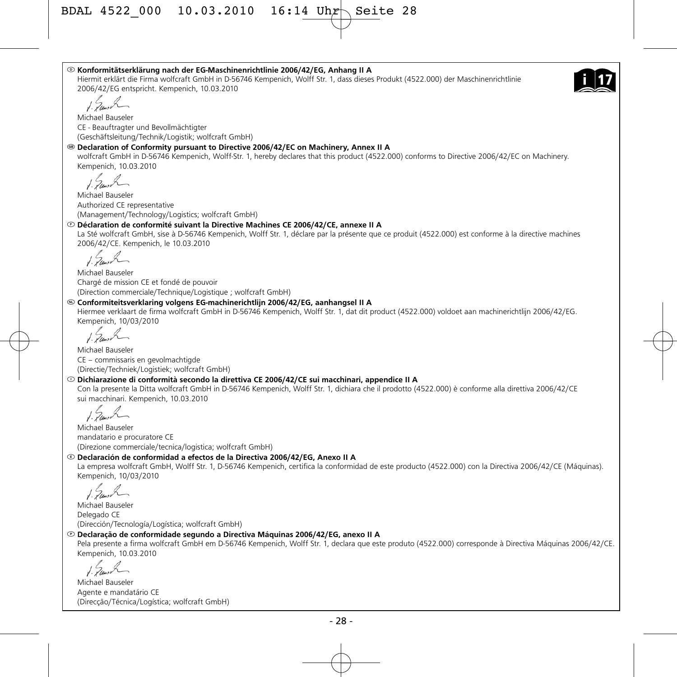#### l Konformitätserklärung nach der EG-Maschinenrichtlinie 2006/42/EG, Anhang II A

Hiermit erklärt die Firma wolfcraft GmbH in D-56746 Kempenich, Wolff Str. 1, dass dieses Produkt (4522.000) der Maschinenrichtlinie 2006/42/EG entspricht. Kempenich, 10.03.2010

Michael Bauseler CE - Beauftragter und Bevollmächtigter (Geschäftsleitung/Technik/Logistik; wolfcraft GmbH)

#### **Sumble Declaration of Conformity pursuant to Directive 2006/42/EC on Machinery, Annex II A**

wolfcraft GmbH in D-56746 Kempenich, Wolff-Str. 1, hereby declares that this product (4522.000) conforms to Directive 2006/42/EC on Machinery. Kempenich, 10.03.2010

Michael Bauseler Authorized CE representative (Management/Technology/Logistics; wolfcraft GmbH)

#### $\odot$  Déclaration de conformité suivant la Directive Machines CE 2006/42/CE, annexe II A

La Sté wolfcraft GmbH, sise à D-56746 Kempenich, Wolff Str. 1, déclare par la présente que ce produit (4522.000) est conforme à la directive machines 2006/42/CE. Kempenich, le 10.03.2010

1. Pans

Michael Bauseler Chargé de mission CE et fondé de pouvoir (Direction commerciale/Technique/Logistique ; wolfcraft GmbH)

#### L Conformiteitsverklaring volgens EG-machinerichtlijn 2006/42/EG, aanhangsel II A

Hiermee verklaart de firma wolfcraft GmbH in D-56746 Kempenich, Wolff Str. 1, dat dit product (4522.000) voldoet aan machinerichtlijn 2006/42/EG. Kempenich, 10/03/2010

d. View

Michael Bauseler

CE – commissaris en gevolmachtigde

(Directie/Techniek/Logistiek; wolfcraft GmbH)

#### $\odot$  Dichiarazione di conformità secondo la direttiva CE 2006/42/CE sui macchinari, appendice II A

Con la presente la Ditta wolfcraft GmbH in D-56746 Kempenich, Wolff Str. 1, dichiara che il prodotto (4522.000) è conforme alla direttiva 2006/42/CE sui macchinari. Kempenich, 10.03.2010

 $\sqrt{2}$ 

Michael Bauseler mandatario e procuratore CE (Direzione commerciale/tecnica/logistica; wolfcraft GmbH)

n Declaración de conformidad a efectos de la Directiva 2006/42/EG, Anexo II A

La empresa wolfcraft GmbH, Wolff Str. 1, D-56746 Kempenich, certifica la conformidad de este producto (4522.000) con la Directiva 2006/42/CE (Máquinas). Kempenich, 10/03/2010

 $\sqrt{2}$ 

Michael Bauseler Delegado CE (Dirección/Tecnología/Logística; wolfcraft GmbH)

 $\odot$  Declaração de conformidade segundo a Directiva Máquinas 2006/42/EG, anexo II A

Pela presente a firma wolfcraft GmbH em D-56746 Kempenich, Wolff Str. 1, declara que este produto (4522.000) corresponde à Directiva Máquinas 2006/42/CE. Kempenich, 10.03.2010

 $\sqrt{2}$ 

Michael Bauseler Agente e mandatário CE (Direcção/Técnica/Logística; wolfcraft GmbH)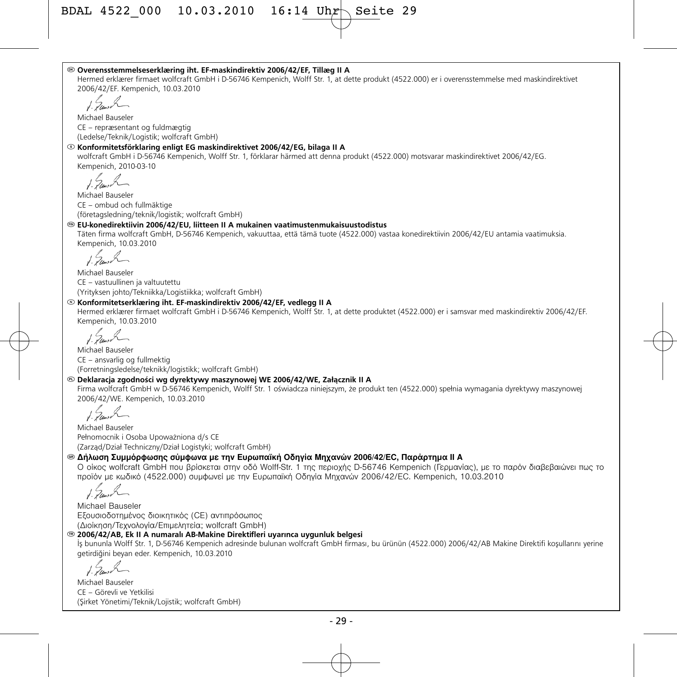#### m Overensstemmelseserklæring iht. EF-maskindirektiv 2006/42/EF, Tillæg II A

Hermed erklærer firmaet wolfcraft GmbH i D-56746 Kempenich, Wolff Str. 1, at dette produkt (4522.000) er i overensstemmelse med maskindirektivet 2006/42/EF. Kempenich, 10.03.2010

Michael Bauseler CE – repræsentant og fuldmægtig (Ledelse/Teknik/Logistik; wolfcraft GmbH)

#### S Konformitetsförklaring enligt EG maskindirektivet 2006/42/EG, bilaga II A

wolfcraft GmbH i D-56746 Kempenich, Wolff Str. 1, förklarar härmed att denna produkt (4522.000) motsvarar maskindirektivet 2006/42/EG. Kempenich, 2010-03-10

Michael Bauseler CE – ombud och fullmäktige (företagsledning/teknik/logistik; wolfcraft GmbH)

#### $\circledast$  EU-konedirektiivin 2006/42/EU, liitteen II A mukainen vaatimustenmukaisuustodistus

Täten firma wolfcraft GmbH, D-56746 Kempenich, vakuuttaa, että tämä tuote (4522.000) vastaa konedirektiivin 2006/42/EU antamia vaatimuksia. Kempenich, 10.03.2010

Michael Bauseler CE – vastuullinen ja valtuutettu (Yrityksen johto/Tekniikka/Logistiikka; wolfcraft GmbH)

#### $\circledcirc$  Konformitetserklæring iht. EF-maskindirektiv 2006/42/EF, vedlegg II A

Hermed erklærer firmaet wolfcraft GmbH i D-56746 Kempenich, Wolff Str. 1, at dette produktet (4522.000) er i samsvar med maskindirektiv 2006/42/EF. Kempenich, 10.03.2010

Michael Bauseler

CE – ansvarlig og fullmektig

(Forretningsledelse/teknikk/logistikk; wolfcraft GmbH)

#### N Deklaracja zgodności wg dyrektywy maszynowej WE 2006/42/WE, Załącznik II A

Firma wolfcraft GmbH w D-56746 Kempenich, Wolff Str. 1 oświadcza niniejszym, że produkt ten (4522.000) spełnia wymagania dyrektywy maszynowej 2006/42/WE. Kempenich, 10.03.2010

 $\sqrt{a}$ 

Michael Bauseler Pełnomocnik i Osoba Upoważniona d/s CE (Zarząd/Dział Techniczny/Dział Logistyki; wolfcraft GmbH)

#### v Δήλωση Συμμόρφωσης σύμφωνα με την Ευρωπαϊκή Οδηγία Μηχανών 2006/42/EC, Παράρτημα II A

Ο οίκος wolfcraft GmbH που βρίσκεται στην οδό Wolff-Str. 1 της περιοχής D-56746 Kempenich (Γερμανίας), με το παρόν διαβεβαιώνει πως το προϊόν με κωδικό (4522.000) συμφωνεί με την Ευρωπαϊκή Οδηγία Μηχανών 2006/42/EC. Kempenich, 10.03.2010

Michael Bauseler Εξουσιοδοτημένος διοικητικός (CE) αντιπρόσωπος (Διοίκηση/Τεχνολογία/Επιμελητεία; wolfcraft GmbH)

W 2006/42/AB, Ek II A numaralı AB-Makine Direktifleri uyarınca uygunluk belgesi

İş bununla Wolff Str. 1, D-56746 Kempenich adresinde bulunan wolfcraft GmbH firması, bu ürünün (4522.000) 2006/42/AB Makine Direktifi koşullarını yerine getirdiğini beyan eder. Kempenich, 10.03.2010

 $\sqrt{2}$ 

Michael Bauseler CE – Görevli ve Yetkilisi (Şirket Yönetimi/Teknik/Lojistik; wolfcraft GmbH)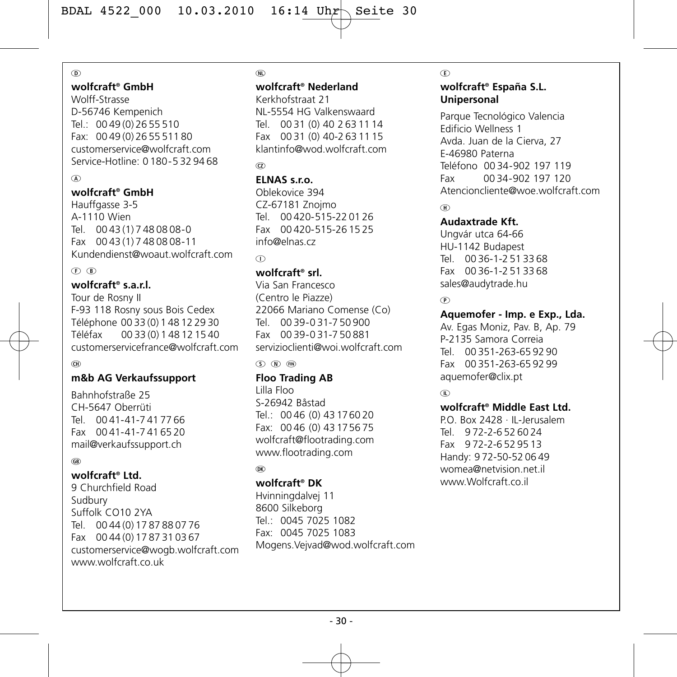#### **D**

### **wolfcraft® GmbH**

Wolff-Strasse D-56746 Kempenich  $T = 0.0049(0)$  26 55 510 Fax: 00 49 (0) 26 55 511 80 customerservice@wolfcraft.com Service-Hotline: 0 180-5 32 94 68

**A**

#### **wolfcraft® GmbH**

Hauffgasse 3-5 A-1110 Wien Tel. 00 43 (1) 7 48 08 08-0 Fax 00 43 (1) 7 48 08 08-11 Kundendienst@woaut.wolfcraft.com

**F B**

### **wolfcraft® s.a.r.l.**

Tour de Rosny II F-93 118 Rosny sous Bois Cedex Téléphone 00 33 (0) 1 48 12 29 30<br>Téléfax 00 33 (0) 1 48 12 15 40 Téléfax 00 33 (0) 1 48 12 15 40 customerservicefrance@wolfcraft.com **c**

### **m&b AG Verkaufssupport**

Bahnhofstraße 25 CH-5647 Oberrüti Tel. 00 41-41-7 41 77 66 Fax 00 41-41-7 41 65 20 mail@verkaufssupport.ch

#### **G**

### **wolfcraft® Ltd.**

9 Churchfield Road Sudbury Suffolk CO10 2YA Tel. 00 44 (0) 17 87 88 07 76 Fax 00 44 (0) 17 87 31 03 67 customerservice@wogb.wolfcraft.com www.wolfcraft.co.uk

#### **n**

### **wolfcraft® Nederland**

Kerkhofstraat 21 NL-5554 HG Valkenswaard Tel. 00 31 (0) 40 2 63 11 14 Fax 00 31 (0) 40-2 63 11 15 klantinfo@wod.wolfcraft.com

#### $\widehat{y}$

### **ELNAS s.r.o.**

Oblekovice 394 CZ-67181 Znojmo Tel. 00 420-515-22 01 26 Fax 00 420-515-26 15 25 info@elnas.cz

**I**

### **wolfcraft® srl.**

Via San Francesco (Centro le Piazze) 22066 Mariano Comense (Co) Tel. 00 39-0 31-7 50 900 Fax 00 39-0 31-7 50 881 servizioclienti@woi.wolfcraft.com

#### **S N f**

#### **Floo Trading AB**

Lilla Floo S-26942 Båstad Tel.: 00 46 (0) 43 1760 20 Fax: 00 46 (0) 43 1756 75 wolfcraft@flootrading.com www.flootrading.com

#### **K**<sup>*K*</sup>

#### **wolfcraft® DK**

Hvinningdalvej 11 8600 Silkeborg Tel.: 0045 7025 1082 Fax: 0045 7025 1083 Mogens.Vejvad@wod.wolfcraft.com

#### **E**

### **wolfcraft® España S.L. Unipersonal**

Parque Tecnológico Valencia Edificio Wellness 1 Avda. Juan de la Cierva, 27 E-46980 Paterna Teléfono 00 34-902 197 119 Fax 00 34-902 197 120 Atencioncliente@woe.wolfcraft.com

**H**

#### **Audaxtrade Kft.**

Ungvár utca 64-66 HU-1142 Budapest Tel. 00 36-1-2 51 33 68 Fax 00 36-1-2 51 33 68 sales@audytrade.hu

#### **P**

#### **Aquemofer - Imp. e Exp., Lda.**

Av. Egas Moniz, Pav. B, Ap. 79 P-2135 Samora Correia Tel. 00 351-263-65 92 90 Fax 00 351-263-65 92 99 aquemofer@clix.pt

#### **h**

#### **wolfcraft® Middle East Ltd.**

P.O. Box 2428 · IL-Jerusalem Tel. 9 72-2-6 52 60 24 Fax 9 72-2-6 52 95 13 Handy: 9 72-50-52 06 49 womea@netvision.net.il www.Wolfcraft.co.il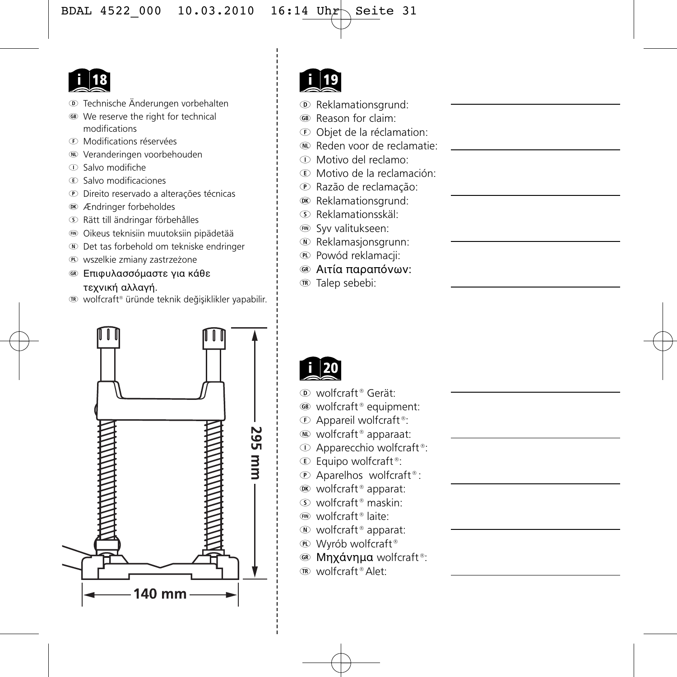

- D Technische Änderungen vorbehalten
- G We reserve the right for technical modifications
- F Modifications réservées
- n Veranderingen voorbehouden
- $\odot$  Salvo modifiche
- E Salvo modificaciones
- P Direito reservado a alterações técnicas
- ® Ændringer forbeholdes
- S Rätt till ändringar förbehålles
- **<sup>®</sup>** Oikeus teknisiin muutoksiin pipädetää
- N Det tas forbehold om tekniske endringer
- $\overline{P}$  wszelkie zmiany zastrzeżone
- @ Επιφυλασσόμαστε για κάθε τεχνική αλλαγή.
- <sup>®</sup> wolfcraft® üründe teknik değişiklikler yapabilir.



- D Reklamationsgrund:
- G Reason for claim:
- F Objet de la réclamation:
- **ED** Reden voor de reclamatie:
- I Motivo del reclamo:
- E Motivo de la reclamación:
- P Razão de reclamação:
- ® Reklamationsgrund:
- S Reklamationsskäl:
- **END** Syv valitukseen:
- N Reklamasjonsgrunn:
- <sup>®</sup> Powód reklamacji:
- @ Αιτία παραπόνων:
- **TR** Talep sebebi:





- D wolfcraft ® Gerät:
- G wolfcraft ® equipment:
- F Appareil wolfcraft ®:
- <sup>n</sup> wolfcraft<sup>®</sup> apparaat:
- I Apparecchio wolfcraft ®:
- E Equipo wolfcraft ®:
- P Aparelhos wolfcraft ® :
- ® wolfcraft<sup>®</sup> apparat:
- S wolfcraft ® maskin:
- **END** wolfcraft<sup>®</sup> laite:
- N wolfcraft ® apparat:
- <sup>®</sup> Wyrób wolfcraft<sup>®</sup>
- <sup>®</sup> Μηχάνημα wolfcraft<sup>®</sup>:
- TR wolfcraft<sup>®</sup> Alet: